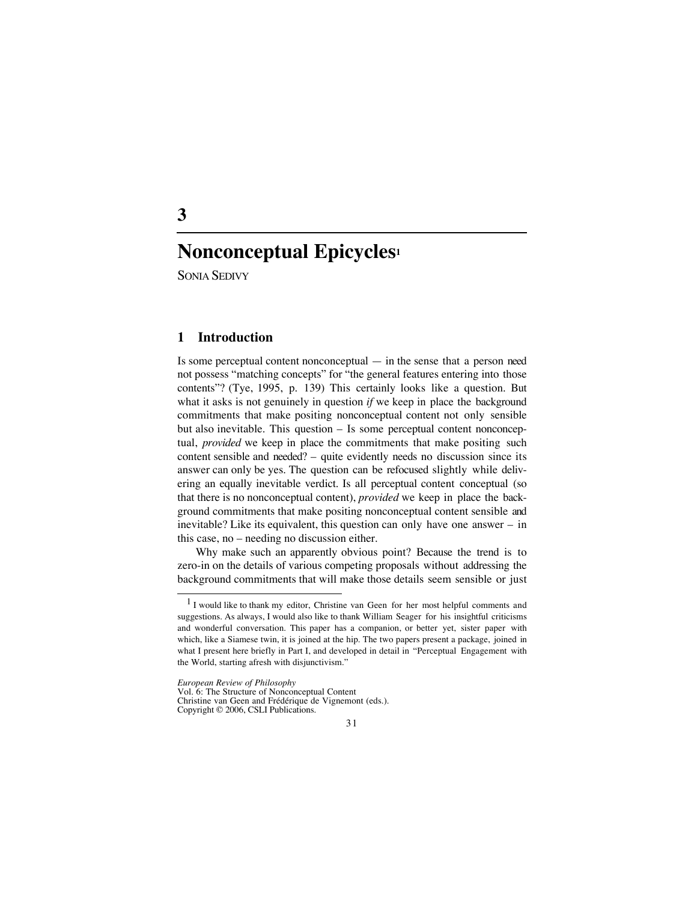# **Nonconceptual Epicycles1**

SONIA SEDIVY

**3**

# **1 Introduction**

Is some perceptual content nonconceptual  $-$  in the sense that a person need not possess "matching concepts" for "the general features entering into those contents"? (Tye, 1995, p. 139) This certainly looks like a question. But what it asks is not genuinely in question *if* we keep in place the background commitments that make positing nonconceptual content not only sensible but also inevitable. This question – Is some perceptual content nonconceptual, *provided* we keep in place the commitments that make positing such content sensible and needed? – quite evidently needs no discussion since its answer can only be yes. The question can be refocused slightly while delivering an equally inevitable verdict. Is all perceptual content conceptual (so that there is no nonconceptual content), *provided* we keep in place the background commitments that make positing nonconceptual content sensible and inevitable? Like its equivalent, this question can only have one answer – in this case, no – needing no discussion either.

Why make such an apparently obvious point? Because the trend is to zero-in on the details of various competing proposals without addressing the background commitments that will make those details seem sensible or just

*European Review of Philosophy*

Vol. 6: The Structure of Nonconceptual Content Christine van Geen and Frédérique de Vignemont (eds.). Copyright © 2006, CSLI Publications.

<sup>&</sup>lt;sup>1</sup> I would like to thank my editor, Christine van Geen for her most helpful comments and suggestions. As always, I would also like to thank William Seager for his insightful criticisms and wonderful conversation. This paper has a companion, or better yet, sister paper with which, like a Siamese twin, it is joined at the hip. The two papers present a package, joined in what I present here briefly in Part I, and developed in detail in "Perceptual Engagement with the World, starting afresh with disjunctivism."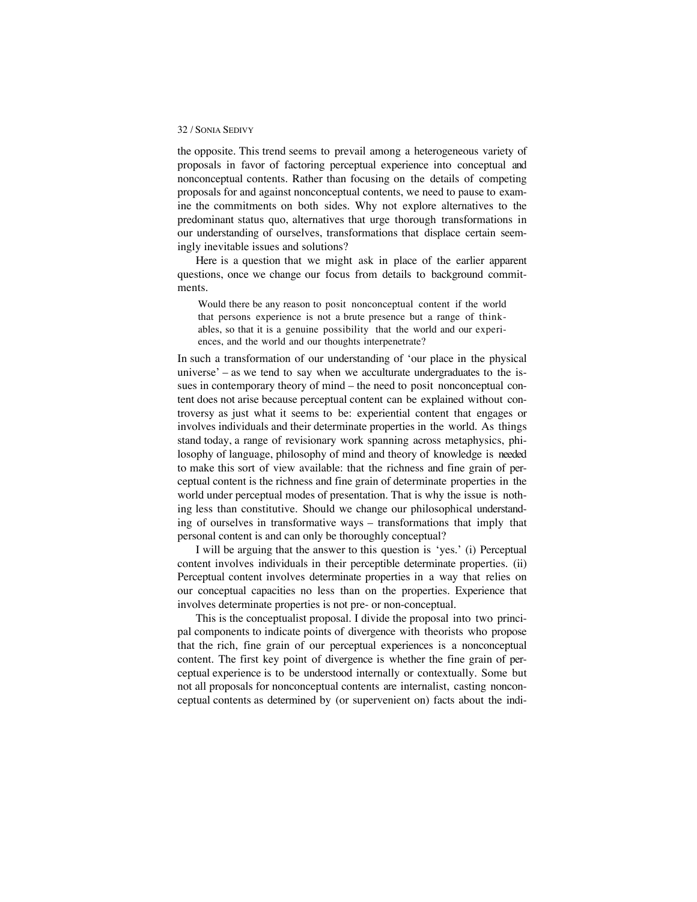the opposite. This trend seems to prevail among a heterogeneous variety of proposals in favor of factoring perceptual experience into conceptual and nonconceptual contents. Rather than focusing on the details of competing proposals for and against nonconceptual contents, we need to pause to examine the commitments on both sides. Why not explore alternatives to the predominant status quo, alternatives that urge thorough transformations in our understanding of ourselves, transformations that displace certain seemingly inevitable issues and solutions?

Here is a question that we might ask in place of the earlier apparent questions, once we change our focus from details to background commitments.

Would there be any reason to posit nonconceptual content if the world that persons experience is not a brute presence but a range of thinkables, so that it is a genuine possibility that the world and our experiences, and the world and our thoughts interpenetrate?

In such a transformation of our understanding of 'our place in the physical universe' – as we tend to say when we acculturate undergraduates to the issues in contemporary theory of mind – the need to posit nonconceptual content does not arise because perceptual content can be explained without controversy as just what it seems to be: experiential content that engages or involves individuals and their determinate properties in the world. As things stand today, a range of revisionary work spanning across metaphysics, philosophy of language, philosophy of mind and theory of knowledge is needed to make this sort of view available: that the richness and fine grain of perceptual content is the richness and fine grain of determinate properties in the world under perceptual modes of presentation. That is why the issue is nothing less than constitutive. Should we change our philosophical understanding of ourselves in transformative ways – transformations that imply that personal content is and can only be thoroughly conceptual?

I will be arguing that the answer to this question is 'yes.' (i) Perceptual content involves individuals in their perceptible determinate properties. (ii) Perceptual content involves determinate properties in a way that relies on our conceptual capacities no less than on the properties. Experience that involves determinate properties is not pre- or non-conceptual.

This is the conceptualist proposal. I divide the proposal into two principal components to indicate points of divergence with theorists who propose that the rich, fine grain of our perceptual experiences is a nonconceptual content. The first key point of divergence is whether the fine grain of perceptual experience is to be understood internally or contextually. Some but not all proposals for nonconceptual contents are internalist, casting nonconceptual contents as determined by (or supervenient on) facts about the indi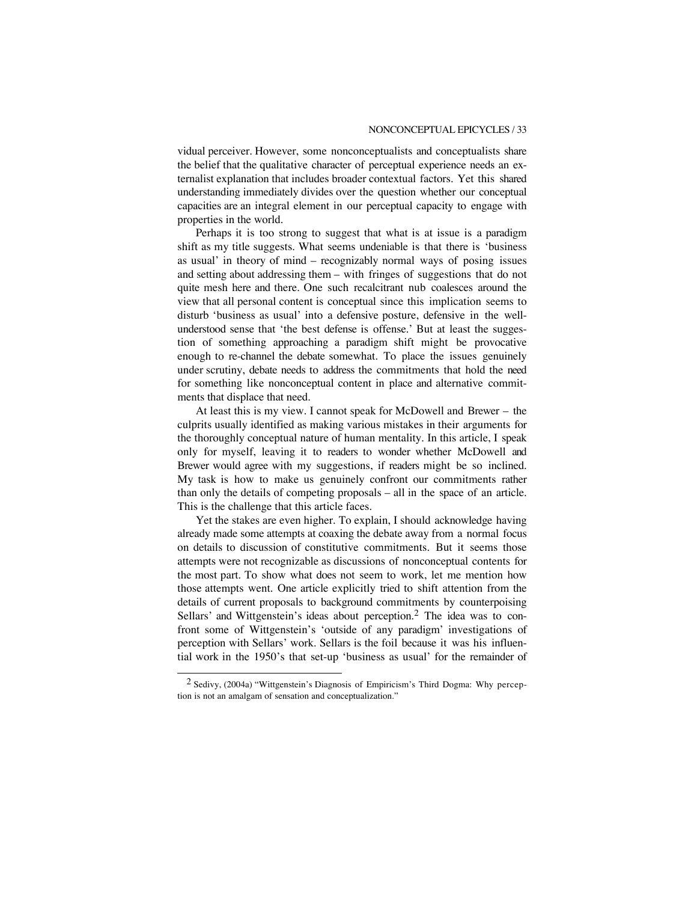vidual perceiver. However, some nonconceptualists and conceptualists share the belief that the qualitative character of perceptual experience needs an externalist explanation that includes broader contextual factors. Yet this shared understanding immediately divides over the question whether our conceptual capacities are an integral element in our perceptual capacity to engage with properties in the world.

Perhaps it is too strong to suggest that what is at issue is a paradigm shift as my title suggests. What seems undeniable is that there is 'business as usual' in theory of mind – recognizably normal ways of posing issues and setting about addressing them – with fringes of suggestions that do not quite mesh here and there. One such recalcitrant nub coalesces around the view that all personal content is conceptual since this implication seems to disturb 'business as usual' into a defensive posture, defensive in the wellunderstood sense that 'the best defense is offense.' But at least the suggestion of something approaching a paradigm shift might be provocative enough to re-channel the debate somewhat. To place the issues genuinely under scrutiny, debate needs to address the commitments that hold the need for something like nonconceptual content in place and alternative commitments that displace that need.

At least this is my view. I cannot speak for McDowell and Brewer – the culprits usually identified as making various mistakes in their arguments for the thoroughly conceptual nature of human mentality. In this article, I speak only for myself, leaving it to readers to wonder whether McDowell and Brewer would agree with my suggestions, if readers might be so inclined. My task is how to make us genuinely confront our commitments rather than only the details of competing proposals – all in the space of an article. This is the challenge that this article faces.

Yet the stakes are even higher. To explain, I should acknowledge having already made some attempts at coaxing the debate away from a normal focus on details to discussion of constitutive commitments. But it seems those attempts were not recognizable as discussions of nonconceptual contents for the most part. To show what does not seem to work, let me mention how those attempts went. One article explicitly tried to shift attention from the details of current proposals to background commitments by counterpoising Sellars' and Wittgenstein's ideas about perception.<sup>2</sup> The idea was to confront some of Wittgenstein's 'outside of any paradigm' investigations of perception with Sellars' work. Sellars is the foil because it was his influential work in the 1950's that set-up 'business as usual' for the remainder of

 <sup>2</sup> Sedivy, (2004a) "Wittgenstein's Diagnosis of Empiricism's Third Dogma: Why perception is not an amalgam of sensation and conceptualization."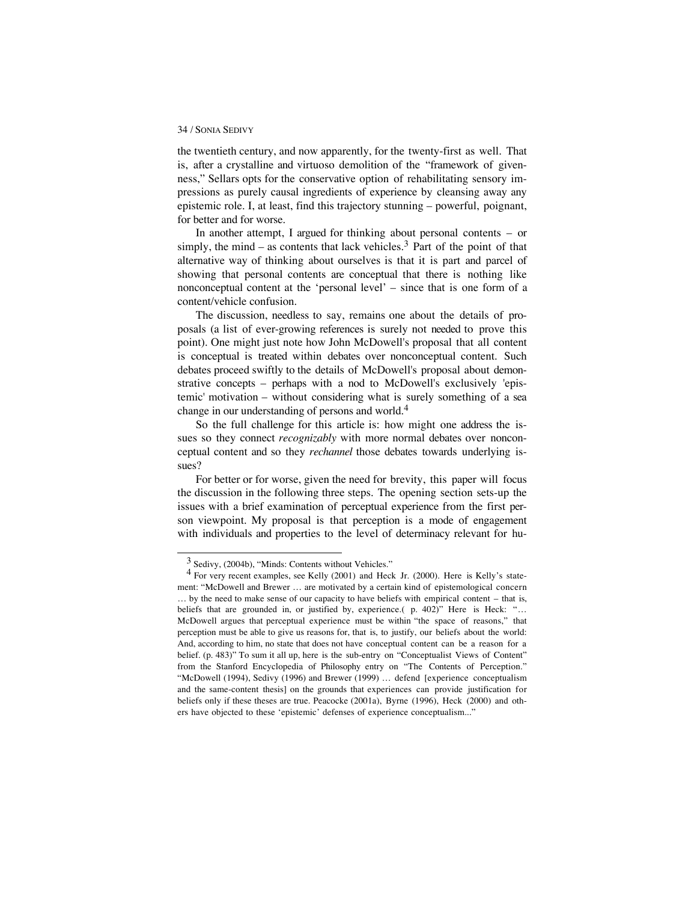the twentieth century, and now apparently, for the twenty-first as well. That is, after a crystalline and virtuoso demolition of the "framework of givenness," Sellars opts for the conservative option of rehabilitating sensory impressions as purely causal ingredients of experience by cleansing away any epistemic role. I, at least, find this trajectory stunning – powerful, poignant, for better and for worse.

In another attempt, I argued for thinking about personal contents – or simply, the mind – as contents that lack vehicles.<sup>3</sup> Part of the point of that alternative way of thinking about ourselves is that it is part and parcel of showing that personal contents are conceptual that there is nothing like nonconceptual content at the 'personal level' – since that is one form of a content/vehicle confusion.

The discussion, needless to say, remains one about the details of proposals (a list of ever-growing references is surely not needed to prove this point). One might just note how John McDowell's proposal that all content is conceptual is treated within debates over nonconceptual content. Such debates proceed swiftly to the details of McDowell's proposal about demonstrative concepts – perhaps with a nod to McDowell's exclusively 'epistemic' motivation – without considering what is surely something of a sea change in our understanding of persons and world.<sup>4</sup>

So the full challenge for this article is: how might one address the issues so they connect *recognizably* with more normal debates over nonconceptual content and so they *rechannel* those debates towards underlying issues?

For better or for worse, given the need for brevity, this paper will focus the discussion in the following three steps. The opening section sets-up the issues with a brief examination of perceptual experience from the first person viewpoint. My proposal is that perception is a mode of engagement with individuals and properties to the level of determinacy relevant for hu-

 <sup>3</sup> Sedivy, (2004b), "Minds: Contents without Vehicles."

<sup>4</sup> For very recent examples, see Kelly (2001) and Heck Jr. (2000). Here is Kelly's statement: "McDowell and Brewer … are motivated by a certain kind of epistemological concern … by the need to make sense of our capacity to have beliefs with empirical content – that is, beliefs that are grounded in, or justified by, experience.( p. 402)" Here is Heck: "… McDowell argues that perceptual experience must be within "the space of reasons," that perception must be able to give us reasons for, that is, to justify, our beliefs about the world: And, according to him, no state that does not have conceptual content can be a reason for a belief. (p. 483)" To sum it all up, here is the sub-entry on "Conceptualist Views of Content" from the Stanford Encyclopedia of Philosophy entry on "The Contents of Perception." "McDowell (1994), Sedivy (1996) and Brewer (1999) … defend [experience conceptualism and the same-content thesis] on the grounds that experiences can provide justification for beliefs only if these theses are true. Peacocke (2001a), Byrne (1996), Heck (2000) and others have objected to these 'epistemic' defenses of experience conceptualism..."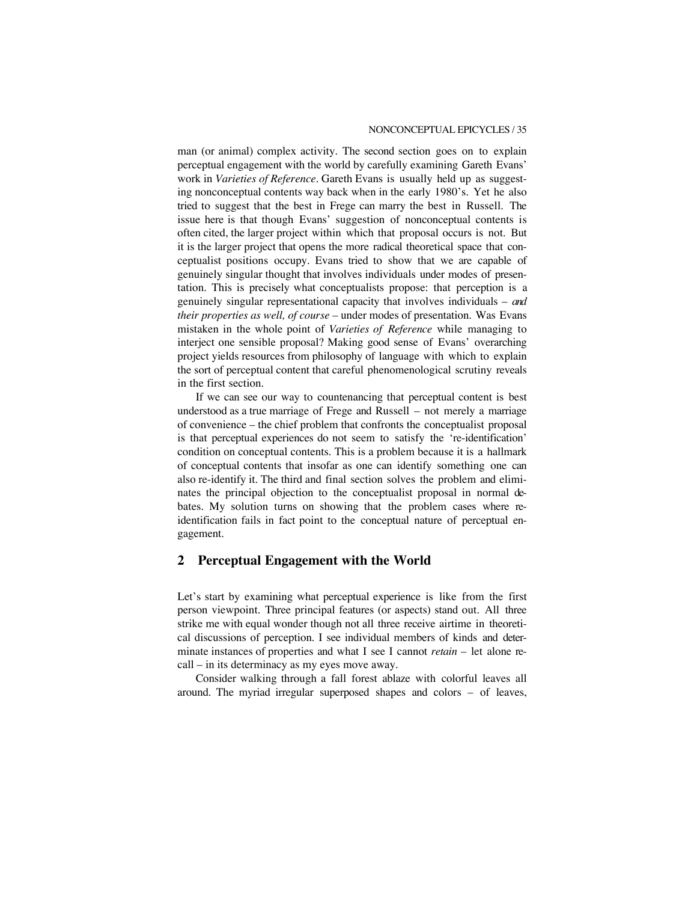man (or animal) complex activity. The second section goes on to explain perceptual engagement with the world by carefully examining Gareth Evans' work in *Varieties of Reference*. Gareth Evans is usually held up as suggesting nonconceptual contents way back when in the early 1980's. Yet he also tried to suggest that the best in Frege can marry the best in Russell. The issue here is that though Evans' suggestion of nonconceptual contents is often cited, the larger project within which that proposal occurs is not. But it is the larger project that opens the more radical theoretical space that conceptualist positions occupy. Evans tried to show that we are capable of genuinely singular thought that involves individuals under modes of presentation. This is precisely what conceptualists propose: that perception is a genuinely singular representational capacity that involves individuals – *and their properties as well, of course* – under modes of presentation. Was Evans mistaken in the whole point of *Varieties of Reference* while managing to interject one sensible proposal? Making good sense of Evans' overarching project yields resources from philosophy of language with which to explain the sort of perceptual content that careful phenomenological scrutiny reveals in the first section.

If we can see our way to countenancing that perceptual content is best understood as a true marriage of Frege and Russell – not merely a marriage of convenience – the chief problem that confronts the conceptualist proposal is that perceptual experiences do not seem to satisfy the 're-identification' condition on conceptual contents. This is a problem because it is a hallmark of conceptual contents that insofar as one can identify something one can also re-identify it. The third and final section solves the problem and eliminates the principal objection to the conceptualist proposal in normal debates. My solution turns on showing that the problem cases where reidentification fails in fact point to the conceptual nature of perceptual engagement.

# **2 Perceptual Engagement with the World**

Let's start by examining what perceptual experience is like from the first person viewpoint. Three principal features (or aspects) stand out. All three strike me with equal wonder though not all three receive airtime in theoretical discussions of perception. I see individual members of kinds and determinate instances of properties and what I see I cannot *retain* – let alone recall – in its determinacy as my eyes move away.

Consider walking through a fall forest ablaze with colorful leaves all around. The myriad irregular superposed shapes and colors – of leaves,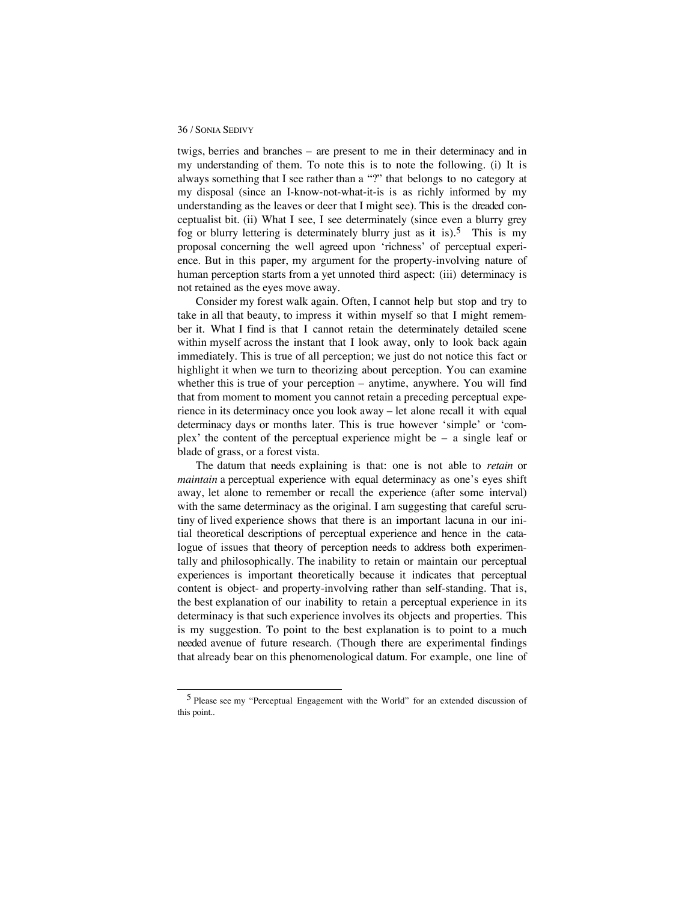twigs, berries and branches – are present to me in their determinacy and in my understanding of them. To note this is to note the following. (i) It is always something that I see rather than a "?" that belongs to no category at my disposal (since an I-know-not-what-it-is is as richly informed by my understanding as the leaves or deer that I might see). This is the dreaded conceptualist bit. (ii) What I see, I see determinately (since even a blurry grey fog or blurry lettering is determinately blurry just as it is).<sup>5</sup> This is my proposal concerning the well agreed upon 'richness' of perceptual experience. But in this paper, my argument for the property-involving nature of human perception starts from a yet unnoted third aspect: (iii) determinacy is not retained as the eyes move away.

Consider my forest walk again. Often, I cannot help but stop and try to take in all that beauty, to impress it within myself so that I might remember it. What I find is that I cannot retain the determinately detailed scene within myself across the instant that I look away, only to look back again immediately. This is true of all perception; we just do not notice this fact or highlight it when we turn to theorizing about perception. You can examine whether this is true of your perception – anytime, anywhere. You will find that from moment to moment you cannot retain a preceding perceptual experience in its determinacy once you look away – let alone recall it with equal determinacy days or months later. This is true however 'simple' or 'complex' the content of the perceptual experience might be – a single leaf or blade of grass, or a forest vista.

The datum that needs explaining is that: one is not able to *retain* or *maintain* a perceptual experience with equal determinacy as one's eyes shift away, let alone to remember or recall the experience (after some interval) with the same determinacy as the original. I am suggesting that careful scrutiny of lived experience shows that there is an important lacuna in our initial theoretical descriptions of perceptual experience and hence in the catalogue of issues that theory of perception needs to address both experimentally and philosophically. The inability to retain or maintain our perceptual experiences is important theoretically because it indicates that perceptual content is object- and property-involving rather than self-standing. That is, the best explanation of our inability to retain a perceptual experience in its determinacy is that such experience involves its objects and properties. This is my suggestion. To point to the best explanation is to point to a much needed avenue of future research. (Though there are experimental findings that already bear on this phenomenological datum. For example, one line of

 <sup>5</sup> Please see my "Perceptual Engagement with the World" for an extended discussion of this point..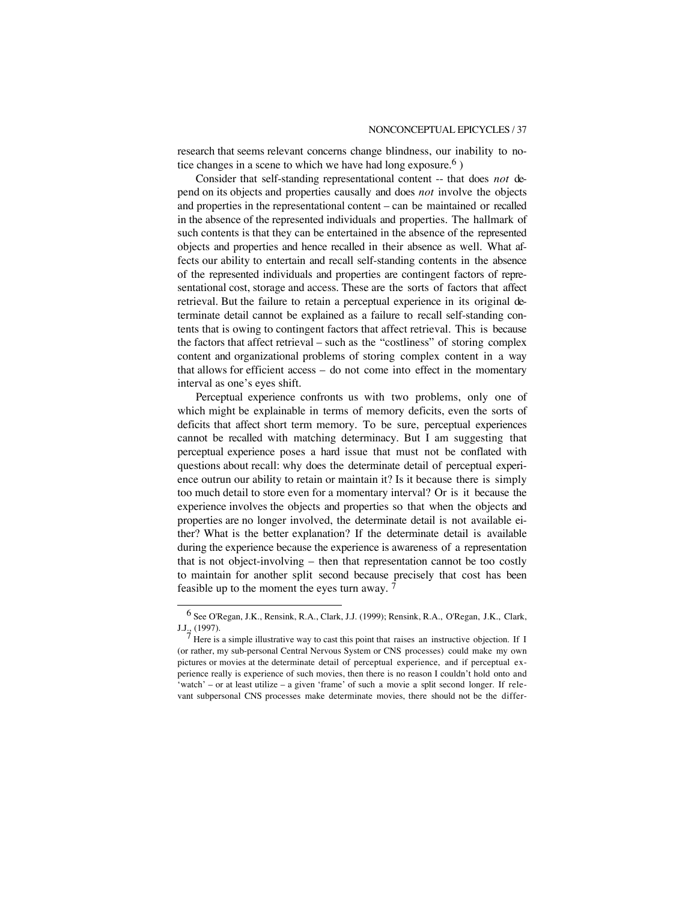research that seems relevant concerns change blindness, our inability to notice changes in a scene to which we have had long exposure.<sup>6</sup>)

Consider that self-standing representational content -- that does *not* depend on its objects and properties causally and does *not* involve the objects and properties in the representational content – can be maintained or recalled in the absence of the represented individuals and properties. The hallmark of such contents is that they can be entertained in the absence of the represented objects and properties and hence recalled in their absence as well. What affects our ability to entertain and recall self-standing contents in the absence of the represented individuals and properties are contingent factors of representational cost, storage and access. These are the sorts of factors that affect retrieval. But the failure to retain a perceptual experience in its original determinate detail cannot be explained as a failure to recall self-standing contents that is owing to contingent factors that affect retrieval. This is because the factors that affect retrieval – such as the "costliness" of storing complex content and organizational problems of storing complex content in a way that allows for efficient access – do not come into effect in the momentary interval as one's eyes shift.

Perceptual experience confronts us with two problems, only one of which might be explainable in terms of memory deficits, even the sorts of deficits that affect short term memory. To be sure, perceptual experiences cannot be recalled with matching determinacy. But I am suggesting that perceptual experience poses a hard issue that must not be conflated with questions about recall: why does the determinate detail of perceptual experience outrun our ability to retain or maintain it? Is it because there is simply too much detail to store even for a momentary interval? Or is it because the experience involves the objects and properties so that when the objects and properties are no longer involved, the determinate detail is not available either? What is the better explanation? If the determinate detail is available during the experience because the experience is awareness of a representation that is not object-involving – then that representation cannot be too costly to maintain for another split second because precisely that cost has been feasible up to the moment the eyes turn away.  $7$ 

 <sup>6</sup> See O'Regan, J.K., Rensink, R.A., Clark, J.J. (1999); Rensink, R.A., O'Regan, J.K., Clark,  $J_{.2}$  (1997).

Here is a simple illustrative way to cast this point that raises an instructive objection. If I (or rather, my sub-personal Central Nervous System or CNS processes) could make my own pictures or movies at the determinate detail of perceptual experience, and if perceptual experience really is experience of such movies, then there is no reason I couldn't hold onto and 'watch' – or at least utilize – a given 'frame' of such a movie a split second longer. If relevant subpersonal CNS processes make determinate movies, there should not be the differ-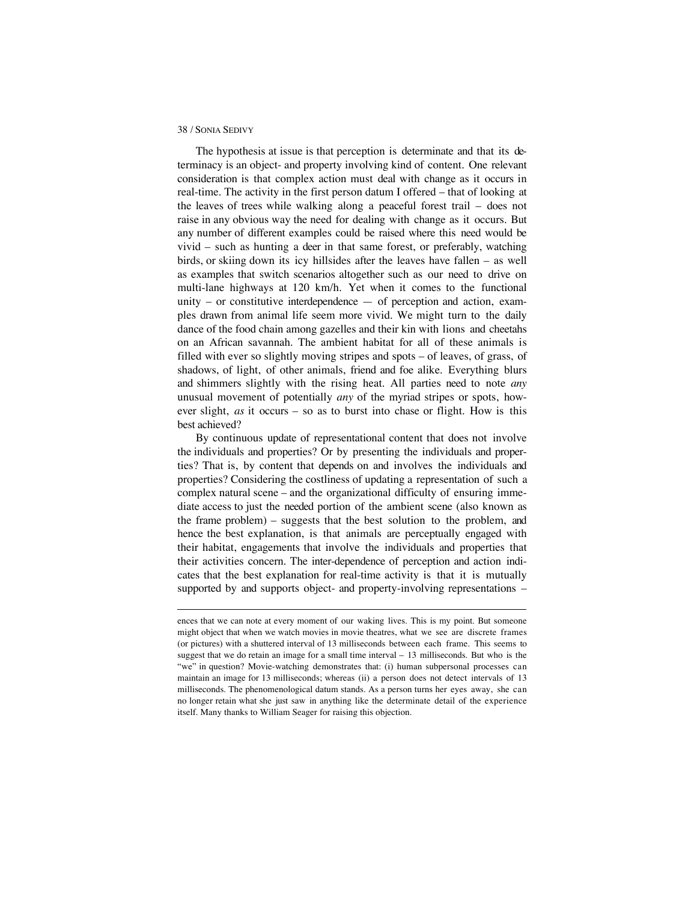-

The hypothesis at issue is that perception is determinate and that its determinacy is an object- and property involving kind of content. One relevant consideration is that complex action must deal with change as it occurs in real-time. The activity in the first person datum I offered – that of looking at the leaves of trees while walking along a peaceful forest trail – does not raise in any obvious way the need for dealing with change as it occurs. But any number of different examples could be raised where this need would be vivid – such as hunting a deer in that same forest, or preferably, watching birds, or skiing down its icy hillsides after the leaves have fallen – as well as examples that switch scenarios altogether such as our need to drive on multi-lane highways at 120 km/h. Yet when it comes to the functional unity – or constitutive interdependence  $-$  of perception and action, examples drawn from animal life seem more vivid. We might turn to the daily dance of the food chain among gazelles and their kin with lions and cheetahs on an African savannah. The ambient habitat for all of these animals is filled with ever so slightly moving stripes and spots – of leaves, of grass, of shadows, of light, of other animals, friend and foe alike. Everything blurs and shimmers slightly with the rising heat. All parties need to note *any* unusual movement of potentially *any* of the myriad stripes or spots, however slight, *as* it occurs – so as to burst into chase or flight. How is this best achieved?

By continuous update of representational content that does not involve the individuals and properties? Or by presenting the individuals and properties? That is, by content that depends on and involves the individuals and properties? Considering the costliness of updating a representation of such a complex natural scene – and the organizational difficulty of ensuring immediate access to just the needed portion of the ambient scene (also known as the frame problem) – suggests that the best solution to the problem, and hence the best explanation, is that animals are perceptually engaged with their habitat, engagements that involve the individuals and properties that their activities concern. The inter-dependence of perception and action indicates that the best explanation for real-time activity is that it is mutually supported by and supports object- and property-involving representations –

ences that we can note at every moment of our waking lives. This is my point. But someone might object that when we watch movies in movie theatres, what we see are discrete frames (or pictures) with a shuttered interval of 13 milliseconds between each frame. This seems to suggest that we do retain an image for a small time interval – 13 milliseconds. But who is the "we" in question? Movie-watching demonstrates that: (i) human subpersonal processes can maintain an image for 13 milliseconds; whereas (ii) a person does not detect intervals of 13 milliseconds. The phenomenological datum stands. As a person turns her eyes away, she can no longer retain what she just saw in anything like the determinate detail of the experience itself. Many thanks to William Seager for raising this objection.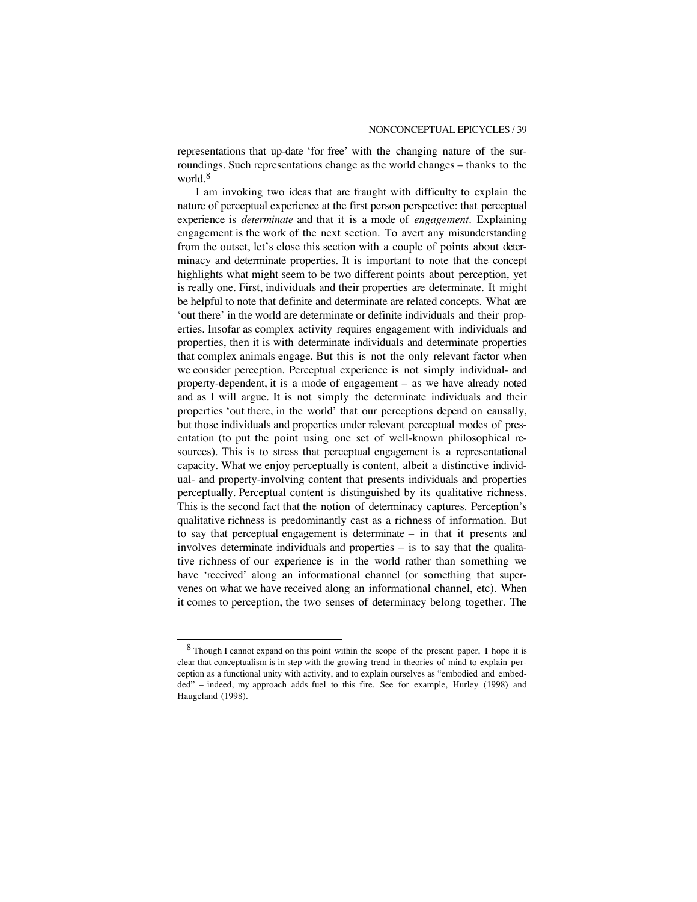representations that up-date 'for free' with the changing nature of the surroundings. Such representations change as the world changes – thanks to the world  $8$ 

I am invoking two ideas that are fraught with difficulty to explain the nature of perceptual experience at the first person perspective: that perceptual experience is *determinate* and that it is a mode of *engagement*. Explaining engagement is the work of the next section. To avert any misunderstanding from the outset, let's close this section with a couple of points about determinacy and determinate properties. It is important to note that the concept highlights what might seem to be two different points about perception, yet is really one. First, individuals and their properties are determinate. It might be helpful to note that definite and determinate are related concepts. What are 'out there' in the world are determinate or definite individuals and their properties. Insofar as complex activity requires engagement with individuals and properties, then it is with determinate individuals and determinate properties that complex animals engage. But this is not the only relevant factor when we consider perception. Perceptual experience is not simply individual- and property-dependent, it is a mode of engagement – as we have already noted and as I will argue. It is not simply the determinate individuals and their properties 'out there, in the world' that our perceptions depend on causally, but those individuals and properties under relevant perceptual modes of presentation (to put the point using one set of well-known philosophical resources). This is to stress that perceptual engagement is a representational capacity. What we enjoy perceptually is content, albeit a distinctive individual- and property-involving content that presents individuals and properties perceptually. Perceptual content is distinguished by its qualitative richness. This is the second fact that the notion of determinacy captures. Perception's qualitative richness is predominantly cast as a richness of information. But to say that perceptual engagement is determinate – in that it presents and involves determinate individuals and properties – is to say that the qualitative richness of our experience is in the world rather than something we have 'received' along an informational channel (or something that supervenes on what we have received along an informational channel, etc). When it comes to perception, the two senses of determinacy belong together. The

 <sup>8</sup> Though I cannot expand on this point within the scope of the present paper, I hope it is clear that conceptualism is in step with the growing trend in theories of mind to explain perception as a functional unity with activity, and to explain ourselves as "embodied and embedded" – indeed, my approach adds fuel to this fire. See for example, Hurley (1998) and Haugeland (1998).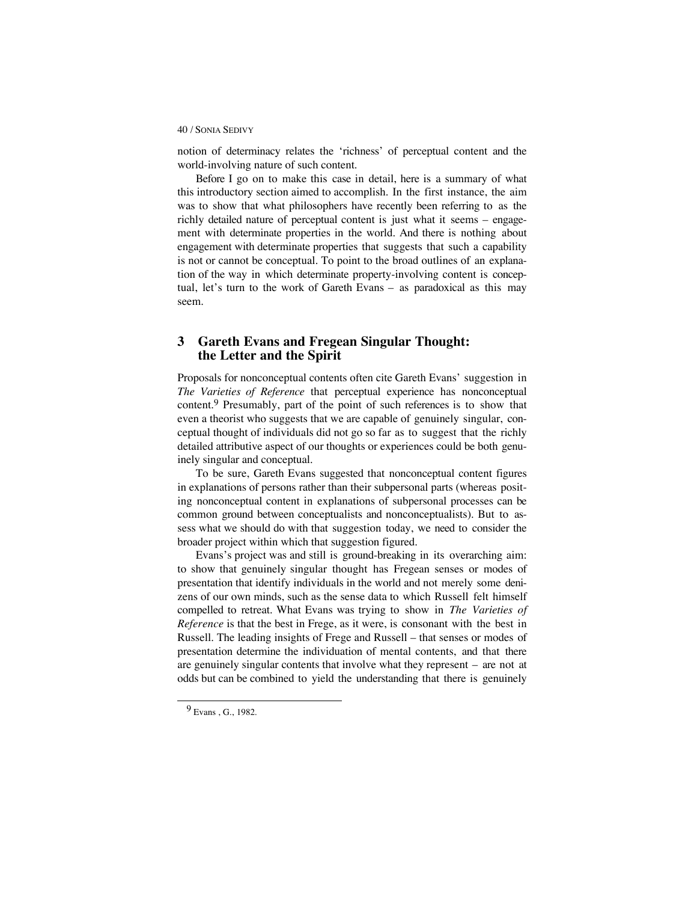notion of determinacy relates the 'richness' of perceptual content and the world-involving nature of such content.

Before I go on to make this case in detail, here is a summary of what this introductory section aimed to accomplish. In the first instance, the aim was to show that what philosophers have recently been referring to as the richly detailed nature of perceptual content is just what it seems – engagement with determinate properties in the world. And there is nothing about engagement with determinate properties that suggests that such a capability is not or cannot be conceptual. To point to the broad outlines of an explanation of the way in which determinate property-involving content is conceptual, let's turn to the work of Gareth Evans – as paradoxical as this may seem.

# **3 Gareth Evans and Fregean Singular Thought: the Letter and the Spirit**

Proposals for nonconceptual contents often cite Gareth Evans' suggestion in *The Varieties of Reference* that perceptual experience has nonconceptual content.9 Presumably, part of the point of such references is to show that even a theorist who suggests that we are capable of genuinely singular, conceptual thought of individuals did not go so far as to suggest that the richly detailed attributive aspect of our thoughts or experiences could be both genuinely singular and conceptual.

To be sure, Gareth Evans suggested that nonconceptual content figures in explanations of persons rather than their subpersonal parts (whereas positing nonconceptual content in explanations of subpersonal processes can be common ground between conceptualists and nonconceptualists). But to assess what we should do with that suggestion today, we need to consider the broader project within which that suggestion figured.

Evans's project was and still is ground-breaking in its overarching aim: to show that genuinely singular thought has Fregean senses or modes of presentation that identify individuals in the world and not merely some denizens of our own minds, such as the sense data to which Russell felt himself compelled to retreat. What Evans was trying to show in *The Varieties of Reference* is that the best in Frege, as it were, is consonant with the best in Russell. The leading insights of Frege and Russell – that senses or modes of presentation determine the individuation of mental contents, and that there are genuinely singular contents that involve what they represent – are not at odds but can be combined to yield the understanding that there is genuinely

 <sup>9</sup> Evans , G., 1982.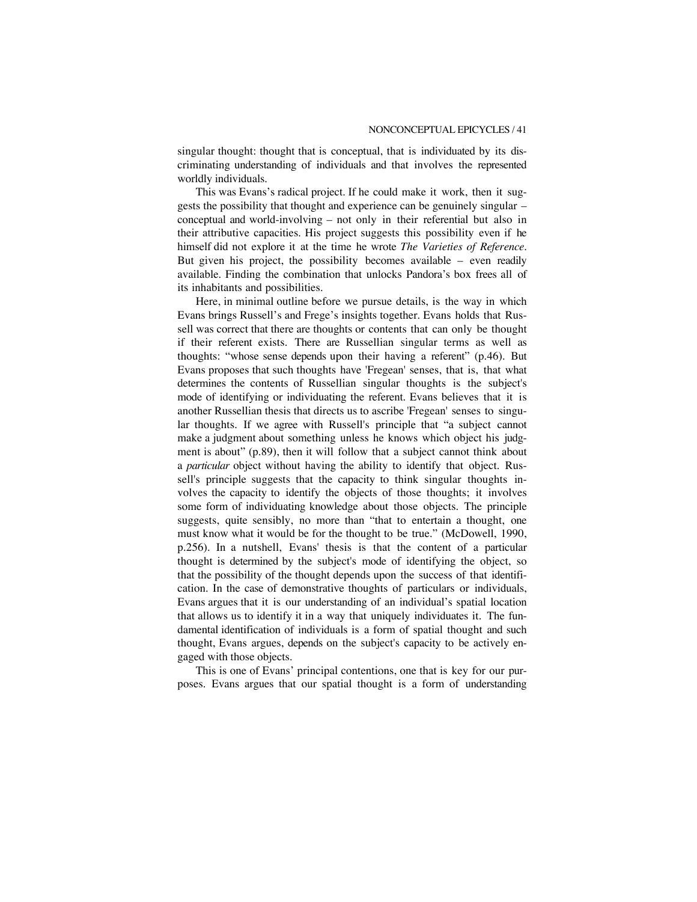singular thought: thought that is conceptual, that is individuated by its discriminating understanding of individuals and that involves the represented worldly individuals.

This was Evans's radical project. If he could make it work, then it suggests the possibility that thought and experience can be genuinely singular – conceptual and world-involving – not only in their referential but also in their attributive capacities. His project suggests this possibility even if he himself did not explore it at the time he wrote *The Varieties of Reference*. But given his project, the possibility becomes available  $-$  even readily available. Finding the combination that unlocks Pandora's box frees all of its inhabitants and possibilities.

Here, in minimal outline before we pursue details, is the way in which Evans brings Russell's and Frege's insights together. Evans holds that Russell was correct that there are thoughts or contents that can only be thought if their referent exists. There are Russellian singular terms as well as thoughts: "whose sense depends upon their having a referent" (p.46). But Evans proposes that such thoughts have 'Fregean' senses, that is, that what determines the contents of Russellian singular thoughts is the subject's mode of identifying or individuating the referent. Evans believes that it is another Russellian thesis that directs us to ascribe 'Fregean' senses to singular thoughts. If we agree with Russell's principle that "a subject cannot make a judgment about something unless he knows which object his judgment is about" (p.89), then it will follow that a subject cannot think about a *particular* object without having the ability to identify that object. Russell's principle suggests that the capacity to think singular thoughts involves the capacity to identify the objects of those thoughts; it involves some form of individuating knowledge about those objects. The principle suggests, quite sensibly, no more than "that to entertain a thought, one must know what it would be for the thought to be true." (McDowell, 1990, p.256). In a nutshell, Evans' thesis is that the content of a particular thought is determined by the subject's mode of identifying the object, so that the possibility of the thought depends upon the success of that identification. In the case of demonstrative thoughts of particulars or individuals, Evans argues that it is our understanding of an individual's spatial location that allows us to identify it in a way that uniquely individuates it. The fundamental identification of individuals is a form of spatial thought and such thought, Evans argues, depends on the subject's capacity to be actively engaged with those objects.

This is one of Evans' principal contentions, one that is key for our purposes. Evans argues that our spatial thought is a form of understanding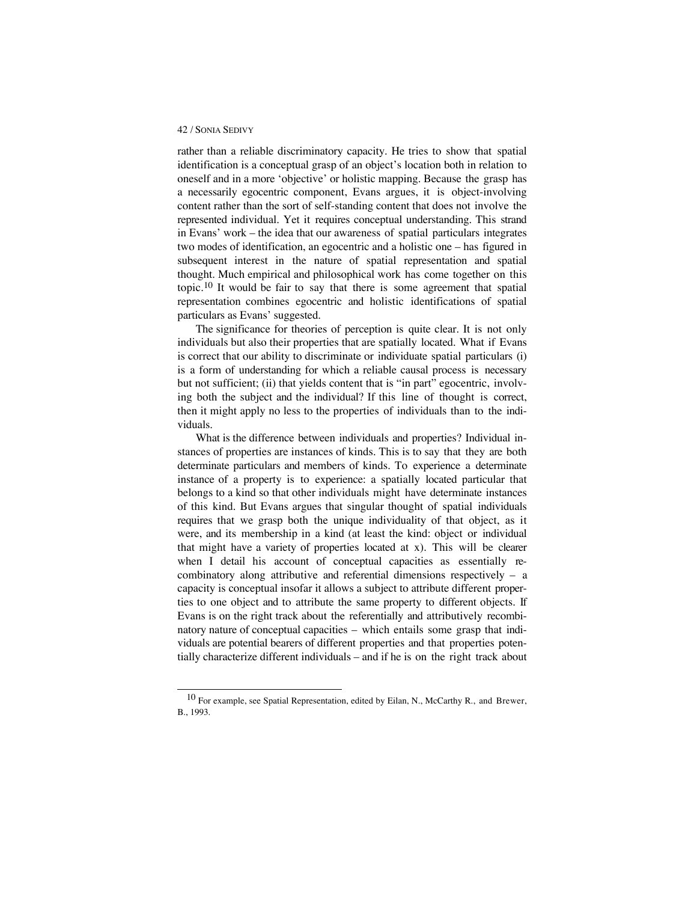rather than a reliable discriminatory capacity. He tries to show that spatial identification is a conceptual grasp of an object's location both in relation to oneself and in a more 'objective' or holistic mapping. Because the grasp has a necessarily egocentric component, Evans argues, it is object-involving content rather than the sort of self-standing content that does not involve the represented individual. Yet it requires conceptual understanding. This strand in Evans' work – the idea that our awareness of spatial particulars integrates two modes of identification, an egocentric and a holistic one – has figured in subsequent interest in the nature of spatial representation and spatial thought. Much empirical and philosophical work has come together on this topic.<sup>10</sup> It would be fair to say that there is some agreement that spatial representation combines egocentric and holistic identifications of spatial particulars as Evans' suggested.

The significance for theories of perception is quite clear. It is not only individuals but also their properties that are spatially located. What if Evans is correct that our ability to discriminate or individuate spatial particulars (i) is a form of understanding for which a reliable causal process is necessary but not sufficient; (ii) that yields content that is "in part" egocentric, involving both the subject and the individual? If this line of thought is correct, then it might apply no less to the properties of individuals than to the individuals.

What is the difference between individuals and properties? Individual instances of properties are instances of kinds. This is to say that they are both determinate particulars and members of kinds. To experience a determinate instance of a property is to experience: a spatially located particular that belongs to a kind so that other individuals might have determinate instances of this kind. But Evans argues that singular thought of spatial individuals requires that we grasp both the unique individuality of that object, as it were, and its membership in a kind (at least the kind: object or individual that might have a variety of properties located at x). This will be clearer when I detail his account of conceptual capacities as essentially recombinatory along attributive and referential dimensions respectively – a capacity is conceptual insofar it allows a subject to attribute different properties to one object and to attribute the same property to different objects. If Evans is on the right track about the referentially and attributively recombinatory nature of conceptual capacities – which entails some grasp that individuals are potential bearers of different properties and that properties potentially characterize different individuals – and if he is on the right track about

 $10$  For example, see Spatial Representation, edited by Eilan, N., McCarthy R., and Brewer, B., 1993.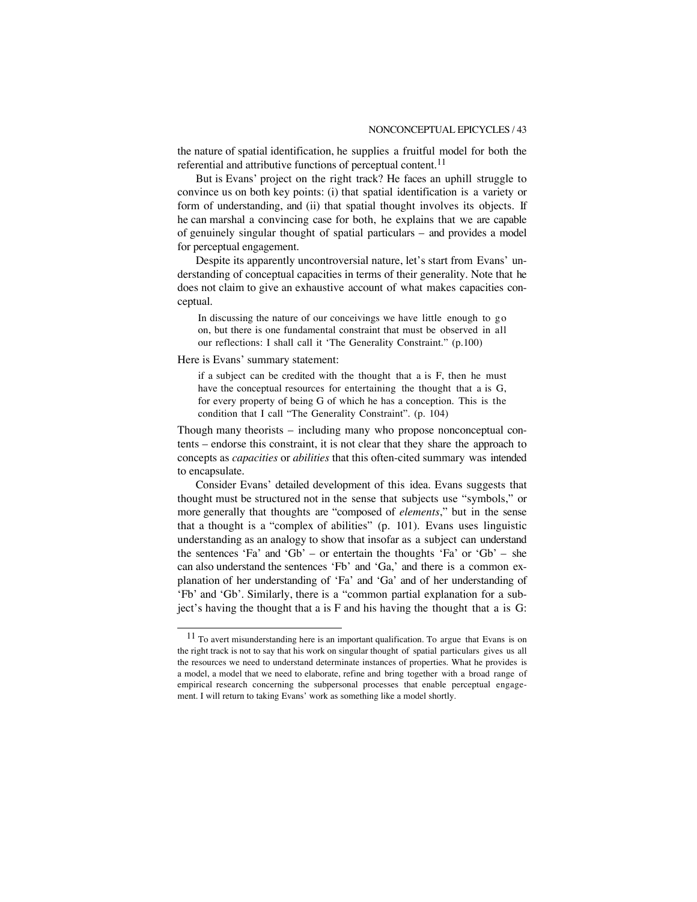the nature of spatial identification, he supplies a fruitful model for both the referential and attributive functions of perceptual content.<sup>11</sup>

But is Evans' project on the right track? He faces an uphill struggle to convince us on both key points: (i) that spatial identification is a variety or form of understanding, and (ii) that spatial thought involves its objects. If he can marshal a convincing case for both, he explains that we are capable of genuinely singular thought of spatial particulars – and provides a model for perceptual engagement.

Despite its apparently uncontroversial nature, let's start from Evans' understanding of conceptual capacities in terms of their generality. Note that he does not claim to give an exhaustive account of what makes capacities conceptual.

In discussing the nature of our conceivings we have little enough to go on, but there is one fundamental constraint that must be observed in all our reflections: I shall call it 'The Generality Constraint." (p.100)

Here is Evans' summary statement:

if a subject can be credited with the thought that a is F, then he must have the conceptual resources for entertaining the thought that a is G, for every property of being G of which he has a conception. This is the condition that I call "The Generality Constraint". (p. 104)

Though many theorists – including many who propose nonconceptual contents – endorse this constraint, it is not clear that they share the approach to concepts as *capacities* or *abilities* that this often-cited summary was intended to encapsulate.

Consider Evans' detailed development of this idea. Evans suggests that thought must be structured not in the sense that subjects use "symbols," or more generally that thoughts are "composed of *elements*," but in the sense that a thought is a "complex of abilities" (p. 101). Evans uses linguistic understanding as an analogy to show that insofar as a subject can understand the sentences 'Fa' and 'Gb' – or entertain the thoughts 'Fa' or 'Gb' – she can also understand the sentences 'Fb' and 'Ga,' and there is a common explanation of her understanding of 'Fa' and 'Ga' and of her understanding of 'Fb' and 'Gb'. Similarly, there is a "common partial explanation for a subject's having the thought that a is F and his having the thought that a is G:

 $11$  To avert misunderstanding here is an important qualification. To argue that Evans is on the right track is not to say that his work on singular thought of spatial particulars gives us all the resources we need to understand determinate instances of properties. What he provides is a model, a model that we need to elaborate, refine and bring together with a broad range of empirical research concerning the subpersonal processes that enable perceptual engagement. I will return to taking Evans' work as something like a model shortly.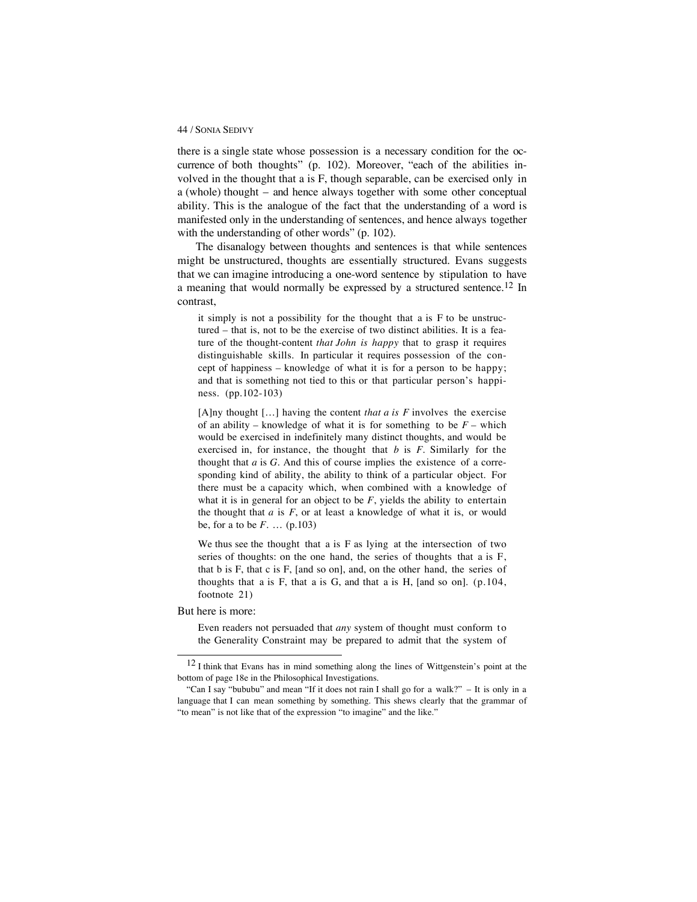there is a single state whose possession is a necessary condition for the occurrence of both thoughts" (p. 102). Moreover, "each of the abilities involved in the thought that a is F, though separable, can be exercised only in a (whole) thought – and hence always together with some other conceptual ability. This is the analogue of the fact that the understanding of a word is manifested only in the understanding of sentences, and hence always together with the understanding of other words" (p. 102).

The disanalogy between thoughts and sentences is that while sentences might be unstructured, thoughts are essentially structured. Evans suggests that we can imagine introducing a one-word sentence by stipulation to have a meaning that would normally be expressed by a structured sentence.<sup>12</sup> In contrast,

it simply is not a possibility for the thought that a is F to be unstructured – that is, not to be the exercise of two distinct abilities. It is a feature of the thought-content *that John is happy* that to grasp it requires distinguishable skills. In particular it requires possession of the concept of happiness – knowledge of what it is for a person to be happy; and that is something not tied to this or that particular person's happiness. (pp.102-103)

[A]ny thought […] having the content *that a is F* involves the exercise of an ability – knowledge of what it is for something to be  $F$  – which would be exercised in indefinitely many distinct thoughts, and would be exercised in, for instance, the thought that *b* is *F*. Similarly for the thought that *a* is *G*. And this of course implies the existence of a corresponding kind of ability, the ability to think of a particular object. For there must be a capacity which, when combined with a knowledge of what it is in general for an object to be  $F$ , yields the ability to entertain the thought that  $a$  is  $F$ , or at least a knowledge of what it is, or would be, for a to be *F*. … (p.103)

We thus see the thought that a is F as lying at the intersection of two series of thoughts: on the one hand, the series of thoughts that a is F, that b is F, that c is F, [and so on], and, on the other hand, the series of thoughts that a is  $F$ , that a is  $G$ , and that a is  $H$ , [and so on]. (p.104, footnote 21)

But here is more:

Even readers not persuaded that *any* system of thought must conform to the Generality Constraint may be prepared to admit that the system of

 <sup>12</sup> I think that Evans has in mind something along the lines of Wittgenstein's point at the bottom of page 18e in the Philosophical Investigations.

<sup>&</sup>quot;Can I say "bububu" and mean "If it does not rain I shall go for a walk?" – It is only in a language that I can mean something by something. This shews clearly that the grammar of "to mean" is not like that of the expression "to imagine" and the like."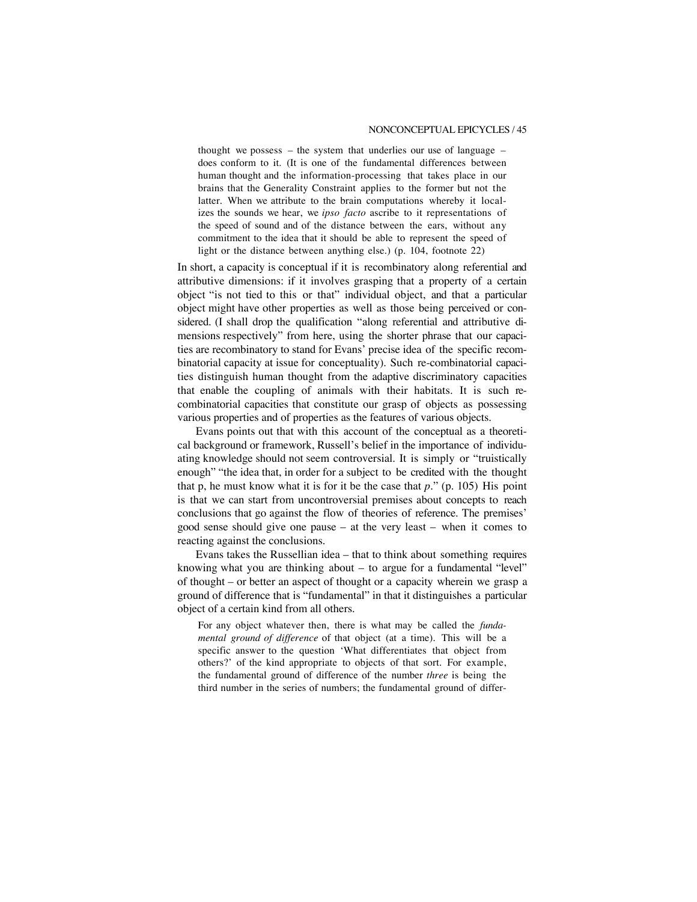#### NONCONCEPTUAL EPICYCLES / 45

thought we possess – the system that underlies our use of language – does conform to it. (It is one of the fundamental differences between human thought and the information-processing that takes place in our brains that the Generality Constraint applies to the former but not the latter. When we attribute to the brain computations whereby it localizes the sounds we hear, we *ipso facto* ascribe to it representations of the speed of sound and of the distance between the ears, without any commitment to the idea that it should be able to represent the speed of light or the distance between anything else.) (p. 104, footnote 22)

In short, a capacity is conceptual if it is recombinatory along referential and attributive dimensions: if it involves grasping that a property of a certain object "is not tied to this or that" individual object, and that a particular object might have other properties as well as those being perceived or considered. (I shall drop the qualification "along referential and attributive dimensions respectively" from here, using the shorter phrase that our capacities are recombinatory to stand for Evans' precise idea of the specific recombinatorial capacity at issue for conceptuality). Such re-combinatorial capacities distinguish human thought from the adaptive discriminatory capacities that enable the coupling of animals with their habitats. It is such recombinatorial capacities that constitute our grasp of objects as possessing various properties and of properties as the features of various objects.

Evans points out that with this account of the conceptual as a theoretical background or framework, Russell's belief in the importance of individuating knowledge should not seem controversial. It is simply or "truistically enough" "the idea that, in order for a subject to be credited with the thought that p, he must know what it is for it be the case that  $p$ ." (p. 105) His point is that we can start from uncontroversial premises about concepts to reach conclusions that go against the flow of theories of reference. The premises' good sense should give one pause – at the very least – when it comes to reacting against the conclusions.

Evans takes the Russellian idea – that to think about something requires knowing what you are thinking about – to argue for a fundamental "level" of thought – or better an aspect of thought or a capacity wherein we grasp a ground of difference that is "fundamental" in that it distinguishes a particular object of a certain kind from all others.

For any object whatever then, there is what may be called the *fundamental ground of difference* of that object (at a time). This will be a specific answer to the question 'What differentiates that object from others?' of the kind appropriate to objects of that sort. For example, the fundamental ground of difference of the number *three* is being the third number in the series of numbers; the fundamental ground of differ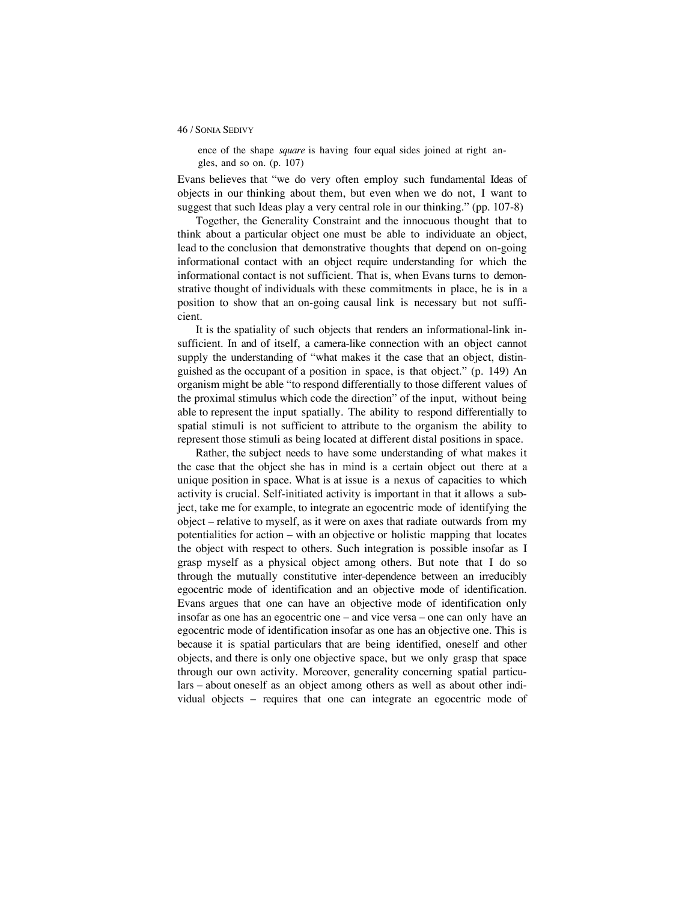ence of the shape *square* is having four equal sides joined at right angles, and so on. (p. 107)

Evans believes that "we do very often employ such fundamental Ideas of objects in our thinking about them, but even when we do not, I want to suggest that such Ideas play a very central role in our thinking." (pp. 107-8)

Together, the Generality Constraint and the innocuous thought that to think about a particular object one must be able to individuate an object, lead to the conclusion that demonstrative thoughts that depend on on-going informational contact with an object require understanding for which the informational contact is not sufficient. That is, when Evans turns to demonstrative thought of individuals with these commitments in place, he is in a position to show that an on-going causal link is necessary but not sufficient.

It is the spatiality of such objects that renders an informational-link insufficient. In and of itself, a camera-like connection with an object cannot supply the understanding of "what makes it the case that an object, distinguished as the occupant of a position in space, is that object." (p. 149) An organism might be able "to respond differentially to those different values of the proximal stimulus which code the direction" of the input, without being able to represent the input spatially. The ability to respond differentially to spatial stimuli is not sufficient to attribute to the organism the ability to represent those stimuli as being located at different distal positions in space.

Rather, the subject needs to have some understanding of what makes it the case that the object she has in mind is a certain object out there at a unique position in space. What is at issue is a nexus of capacities to which activity is crucial. Self-initiated activity is important in that it allows a subject, take me for example, to integrate an egocentric mode of identifying the object – relative to myself, as it were on axes that radiate outwards from my potentialities for action – with an objective or holistic mapping that locates the object with respect to others. Such integration is possible insofar as I grasp myself as a physical object among others. But note that I do so through the mutually constitutive inter-dependence between an irreducibly egocentric mode of identification and an objective mode of identification. Evans argues that one can have an objective mode of identification only insofar as one has an egocentric one – and vice versa – one can only have an egocentric mode of identification insofar as one has an objective one. This is because it is spatial particulars that are being identified, oneself and other objects, and there is only one objective space, but we only grasp that space through our own activity. Moreover, generality concerning spatial particulars – about oneself as an object among others as well as about other individual objects – requires that one can integrate an egocentric mode of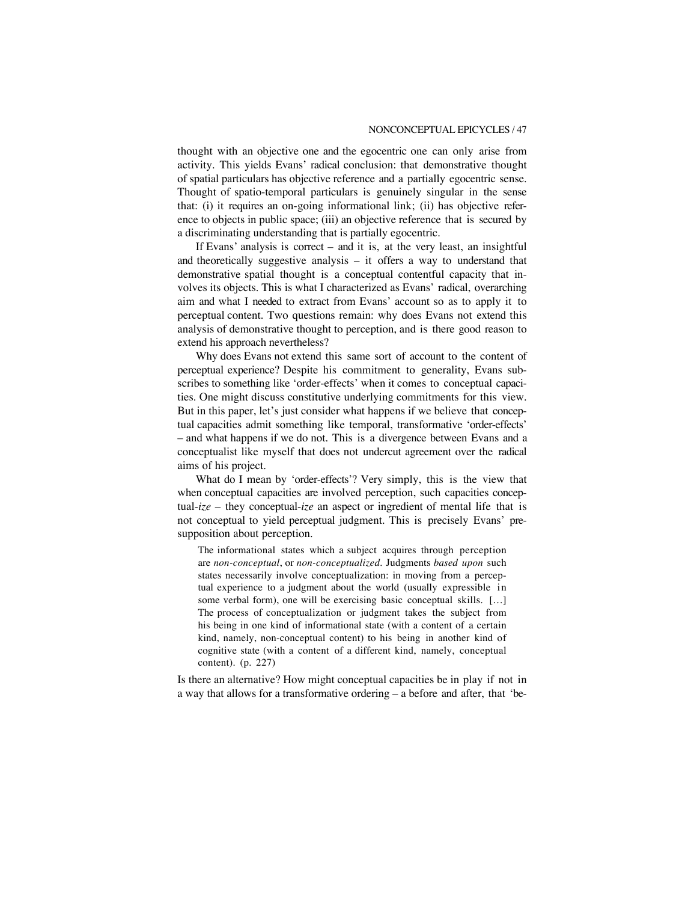thought with an objective one and the egocentric one can only arise from activity. This yields Evans' radical conclusion: that demonstrative thought of spatial particulars has objective reference and a partially egocentric sense. Thought of spatio-temporal particulars is genuinely singular in the sense that: (i) it requires an on-going informational link; (ii) has objective reference to objects in public space; (iii) an objective reference that is secured by a discriminating understanding that is partially egocentric.

If Evans' analysis is correct – and it is, at the very least, an insightful and theoretically suggestive analysis – it offers a way to understand that demonstrative spatial thought is a conceptual contentful capacity that involves its objects. This is what I characterized as Evans' radical, overarching aim and what I needed to extract from Evans' account so as to apply it to perceptual content. Two questions remain: why does Evans not extend this analysis of demonstrative thought to perception, and is there good reason to extend his approach nevertheless?

Why does Evans not extend this same sort of account to the content of perceptual experience? Despite his commitment to generality, Evans subscribes to something like 'order-effects' when it comes to conceptual capacities. One might discuss constitutive underlying commitments for this view. But in this paper, let's just consider what happens if we believe that conceptual capacities admit something like temporal, transformative 'order-effects' – and what happens if we do not. This is a divergence between Evans and a conceptualist like myself that does not undercut agreement over the radical aims of his project.

What do I mean by 'order-effects'? Very simply, this is the view that when conceptual capacities are involved perception, such capacities conceptual-*ize* – they conceptual-*ize* an aspect or ingredient of mental life that is not conceptual to yield perceptual judgment. This is precisely Evans' presupposition about perception.

The informational states which a subject acquires through perception are *non-conceptual*, or *non-conceptualized*. Judgments *based upon* such states necessarily involve conceptualization: in moving from a perceptual experience to a judgment about the world (usually expressible in some verbal form), one will be exercising basic conceptual skills. […] The process of conceptualization or judgment takes the subject from his being in one kind of informational state (with a content of a certain kind, namely, non-conceptual content) to his being in another kind of cognitive state (with a content of a different kind, namely, conceptual content). (p. 227)

Is there an alternative? How might conceptual capacities be in play if not in a way that allows for a transformative ordering – a before and after, that 'be-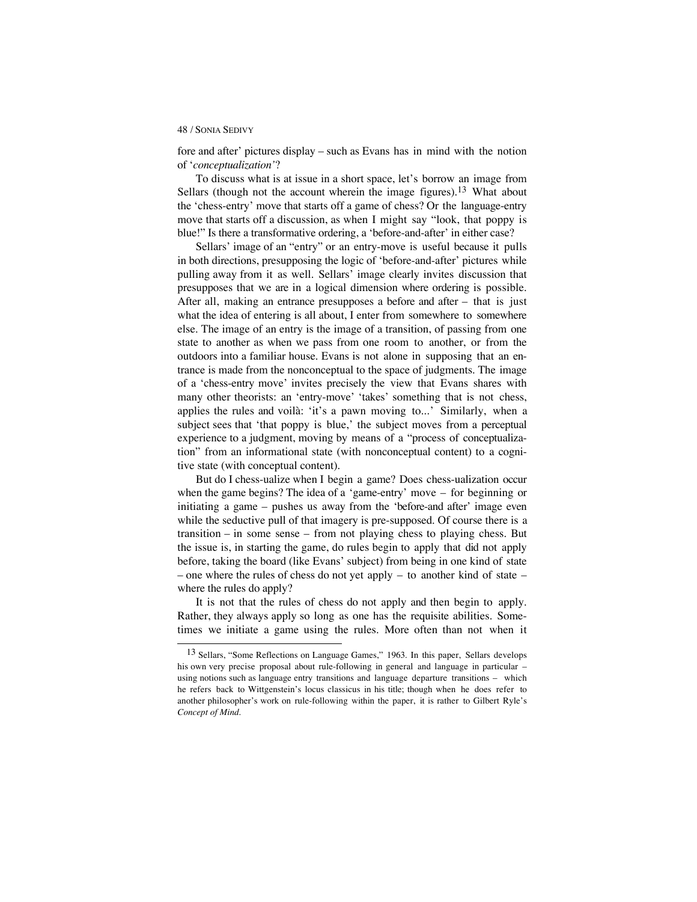fore and after' pictures display – such as Evans has in mind with the notion of '*conceptualization'*?

To discuss what is at issue in a short space, let's borrow an image from Sellars (though not the account wherein the image figures).<sup>13</sup> What about the 'chess-entry' move that starts off a game of chess? Or the language-entry move that starts off a discussion, as when I might say "look, that poppy is blue!" Is there a transformative ordering, a 'before-and-after' in either case?

Sellars' image of an "entry" or an entry-move is useful because it pulls in both directions, presupposing the logic of 'before-and-after' pictures while pulling away from it as well. Sellars' image clearly invites discussion that presupposes that we are in a logical dimension where ordering is possible. After all, making an entrance presupposes a before and after – that is just what the idea of entering is all about, I enter from somewhere to somewhere else. The image of an entry is the image of a transition, of passing from one state to another as when we pass from one room to another, or from the outdoors into a familiar house. Evans is not alone in supposing that an entrance is made from the nonconceptual to the space of judgments. The image of a 'chess-entry move' invites precisely the view that Evans shares with many other theorists: an 'entry-move' 'takes' something that is not chess, applies the rules and voilà: 'it's a pawn moving to...' Similarly, when a subject sees that 'that poppy is blue,' the subject moves from a perceptual experience to a judgment, moving by means of a "process of conceptualization" from an informational state (with nonconceptual content) to a cognitive state (with conceptual content).

But do I chess-ualize when I begin a game? Does chess-ualization occur when the game begins? The idea of a 'game-entry' move – for beginning or initiating a game – pushes us away from the 'before-and after' image even while the seductive pull of that imagery is pre-supposed. Of course there is a transition – in some sense – from not playing chess to playing chess. But the issue is, in starting the game, do rules begin to apply that did not apply before, taking the board (like Evans' subject) from being in one kind of state – one where the rules of chess do not yet apply – to another kind of state – where the rules do apply?

It is not that the rules of chess do not apply and then begin to apply. Rather, they always apply so long as one has the requisite abilities. Sometimes we initiate a game using the rules. More often than not when it

 <sup>13</sup> Sellars, "Some Reflections on Language Games," 1963. In this paper, Sellars develops his own very precise proposal about rule-following in general and language in particular – using notions such as language entry transitions and language departure transitions – which he refers back to Wittgenstein's locus classicus in his title; though when he does refer to another philosopher's work on rule-following within the paper, it is rather to Gilbert Ryle's *Concept of Mind*.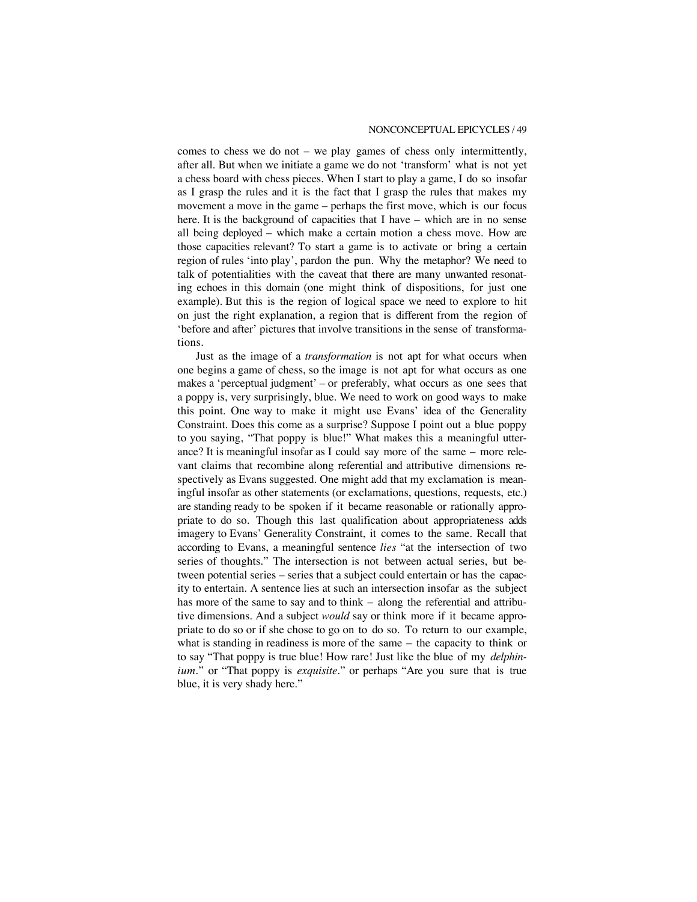comes to chess we do not – we play games of chess only intermittently, after all. But when we initiate a game we do not 'transform' what is not yet a chess board with chess pieces. When I start to play a game, I do so insofar as I grasp the rules and it is the fact that I grasp the rules that makes my movement a move in the game – perhaps the first move, which is our focus here. It is the background of capacities that I have – which are in no sense all being deployed – which make a certain motion a chess move. How are those capacities relevant? To start a game is to activate or bring a certain region of rules 'into play', pardon the pun. Why the metaphor? We need to talk of potentialities with the caveat that there are many unwanted resonating echoes in this domain (one might think of dispositions, for just one example). But this is the region of logical space we need to explore to hit on just the right explanation, a region that is different from the region of 'before and after' pictures that involve transitions in the sense of transformations.

Just as the image of a *transformation* is not apt for what occurs when one begins a game of chess, so the image is not apt for what occurs as one makes a 'perceptual judgment' – or preferably, what occurs as one sees that a poppy is, very surprisingly, blue. We need to work on good ways to make this point. One way to make it might use Evans' idea of the Generality Constraint. Does this come as a surprise? Suppose I point out a blue poppy to you saying, "That poppy is blue!" What makes this a meaningful utterance? It is meaningful insofar as I could say more of the same – more relevant claims that recombine along referential and attributive dimensions respectively as Evans suggested. One might add that my exclamation is meaningful insofar as other statements (or exclamations, questions, requests, etc.) are standing ready to be spoken if it became reasonable or rationally appropriate to do so. Though this last qualification about appropriateness adds imagery to Evans' Generality Constraint, it comes to the same. Recall that according to Evans, a meaningful sentence *lies* "at the intersection of two series of thoughts." The intersection is not between actual series, but between potential series – series that a subject could entertain or has the capacity to entertain. A sentence lies at such an intersection insofar as the subject has more of the same to say and to think – along the referential and attributive dimensions. And a subject *would* say or think more if it became appropriate to do so or if she chose to go on to do so. To return to our example, what is standing in readiness is more of the same – the capacity to think or to say "That poppy is true blue! How rare! Just like the blue of my *delphinium*." or "That poppy is *exquisite*." or perhaps "Are you sure that is true blue, it is very shady here."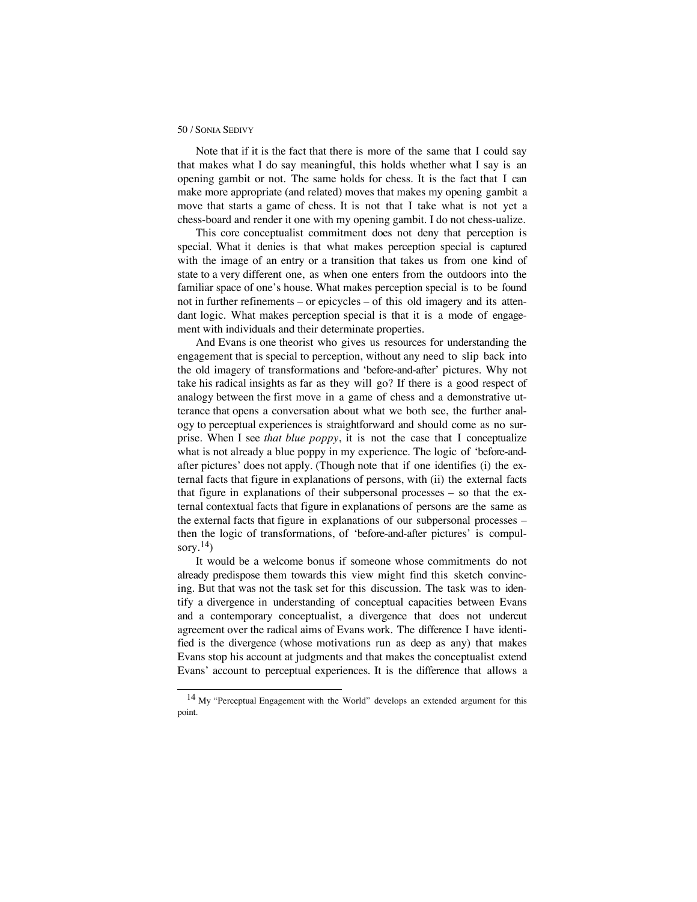Note that if it is the fact that there is more of the same that I could say that makes what I do say meaningful, this holds whether what I say is an opening gambit or not. The same holds for chess. It is the fact that I can make more appropriate (and related) moves that makes my opening gambit a move that starts a game of chess. It is not that I take what is not yet a chess-board and render it one with my opening gambit. I do not chess-ualize.

This core conceptualist commitment does not deny that perception is special. What it denies is that what makes perception special is captured with the image of an entry or a transition that takes us from one kind of state to a very different one, as when one enters from the outdoors into the familiar space of one's house. What makes perception special is to be found not in further refinements – or epicycles – of this old imagery and its attendant logic. What makes perception special is that it is a mode of engagement with individuals and their determinate properties.

And Evans is one theorist who gives us resources for understanding the engagement that is special to perception, without any need to slip back into the old imagery of transformations and 'before-and-after' pictures. Why not take his radical insights as far as they will go? If there is a good respect of analogy between the first move in a game of chess and a demonstrative utterance that opens a conversation about what we both see, the further analogy to perceptual experiences is straightforward and should come as no surprise. When I see *that blue poppy*, it is not the case that I conceptualize what is not already a blue poppy in my experience. The logic of 'before-andafter pictures' does not apply. (Though note that if one identifies (i) the external facts that figure in explanations of persons, with (ii) the external facts that figure in explanations of their subpersonal processes – so that the external contextual facts that figure in explanations of persons are the same as the external facts that figure in explanations of our subpersonal processes – then the logic of transformations, of 'before-and-after pictures' is compulsory. $^{14}$ )

It would be a welcome bonus if someone whose commitments do not already predispose them towards this view might find this sketch convincing. But that was not the task set for this discussion. The task was to identify a divergence in understanding of conceptual capacities between Evans and a contemporary conceptualist, a divergence that does not undercut agreement over the radical aims of Evans work. The difference I have identified is the divergence (whose motivations run as deep as any) that makes Evans stop his account at judgments and that makes the conceptualist extend Evans' account to perceptual experiences. It is the difference that allows a

<sup>&</sup>lt;sup>14</sup> My "Perceptual Engagement with the World" develops an extended argument for this point.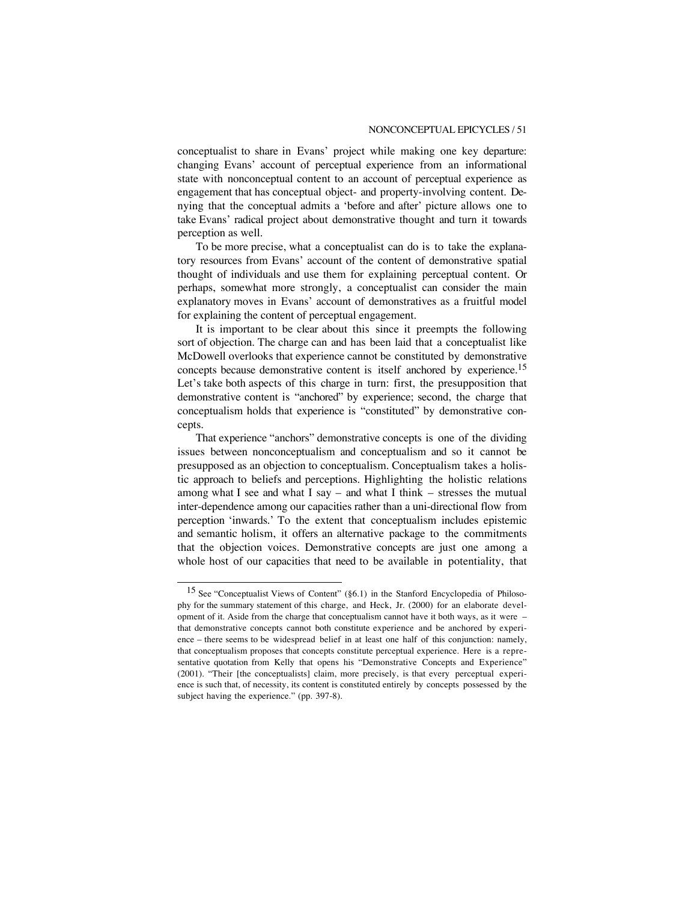conceptualist to share in Evans' project while making one key departure: changing Evans' account of perceptual experience from an informational state with nonconceptual content to an account of perceptual experience as engagement that has conceptual object- and property-involving content. Denying that the conceptual admits a 'before and after' picture allows one to take Evans' radical project about demonstrative thought and turn it towards perception as well.

To be more precise, what a conceptualist can do is to take the explanatory resources from Evans' account of the content of demonstrative spatial thought of individuals and use them for explaining perceptual content. Or perhaps, somewhat more strongly, a conceptualist can consider the main explanatory moves in Evans' account of demonstratives as a fruitful model for explaining the content of perceptual engagement.

It is important to be clear about this since it preempts the following sort of objection. The charge can and has been laid that a conceptualist like McDowell overlooks that experience cannot be constituted by demonstrative concepts because demonstrative content is itself anchored by experience.<sup>15</sup> Let's take both aspects of this charge in turn: first, the presupposition that demonstrative content is "anchored" by experience; second, the charge that conceptualism holds that experience is "constituted" by demonstrative concepts.

That experience "anchors" demonstrative concepts is one of the dividing issues between nonconceptualism and conceptualism and so it cannot be presupposed as an objection to conceptualism. Conceptualism takes a holistic approach to beliefs and perceptions. Highlighting the holistic relations among what I see and what I say  $-$  and what I think  $-$  stresses the mutual inter-dependence among our capacities rather than a uni-directional flow from perception 'inwards.' To the extent that conceptualism includes epistemic and semantic holism, it offers an alternative package to the commitments that the objection voices. Demonstrative concepts are just one among a whole host of our capacities that need to be available in potentiality, that

 <sup>15</sup> See "Conceptualist Views of Content" (§6.1) in the Stanford Encyclopedia of Philosophy for the summary statement of this charge, and Heck, Jr. (2000) for an elaborate development of it. Aside from the charge that conceptualism cannot have it both ways, as it were – that demonstrative concepts cannot both constitute experience and be anchored by experience – there seems to be widespread belief in at least one half of this conjunction: namely, that conceptualism proposes that concepts constitute perceptual experience. Here is a representative quotation from Kelly that opens his "Demonstrative Concepts and Experience" (2001). "Their [the conceptualists] claim, more precisely, is that every perceptual experience is such that, of necessity, its content is constituted entirely by concepts possessed by the subject having the experience." (pp. 397-8).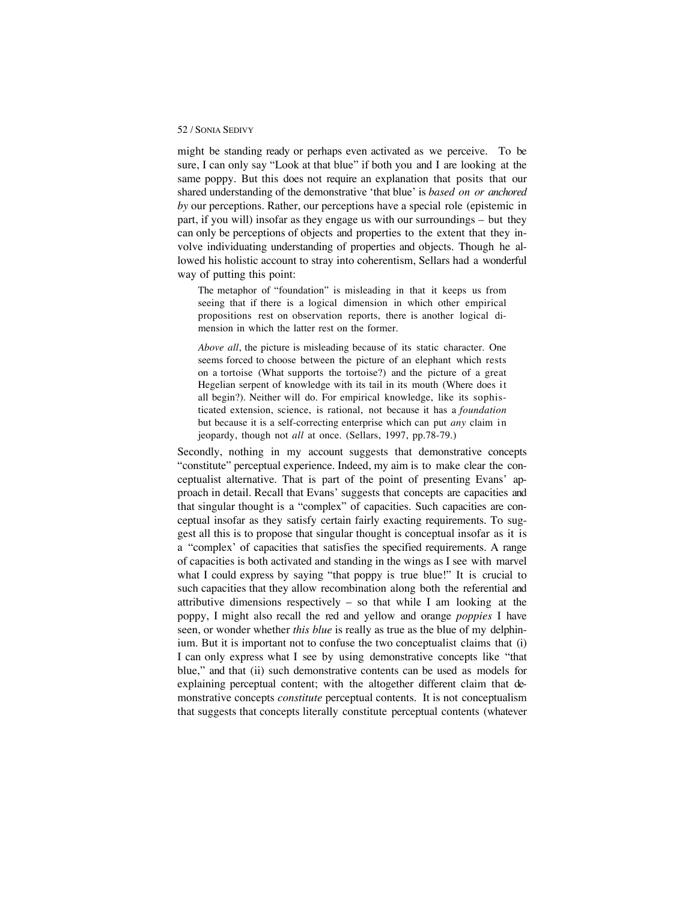might be standing ready or perhaps even activated as we perceive. To be sure, I can only say "Look at that blue" if both you and I are looking at the same poppy. But this does not require an explanation that posits that our shared understanding of the demonstrative 'that blue' is *based on or anchored by* our perceptions. Rather, our perceptions have a special role (epistemic in part, if you will) insofar as they engage us with our surroundings – but they can only be perceptions of objects and properties to the extent that they involve individuating understanding of properties and objects. Though he allowed his holistic account to stray into coherentism, Sellars had a wonderful way of putting this point:

The metaphor of "foundation" is misleading in that it keeps us from seeing that if there is a logical dimension in which other empirical propositions rest on observation reports, there is another logical dimension in which the latter rest on the former.

*Above all*, the picture is misleading because of its static character. One seems forced to choose between the picture of an elephant which rests on a tortoise (What supports the tortoise?) and the picture of a great Hegelian serpent of knowledge with its tail in its mouth (Where does it all begin?). Neither will do. For empirical knowledge, like its sophisticated extension, science, is rational, not because it has a *foundation* but because it is a self-correcting enterprise which can put *any* claim in jeopardy, though not *all* at once. (Sellars, 1997, pp.78-79.)

Secondly, nothing in my account suggests that demonstrative concepts "constitute" perceptual experience. Indeed, my aim is to make clear the conceptualist alternative. That is part of the point of presenting Evans' approach in detail. Recall that Evans' suggests that concepts are capacities and that singular thought is a "complex" of capacities. Such capacities are conceptual insofar as they satisfy certain fairly exacting requirements. To suggest all this is to propose that singular thought is conceptual insofar as it is a "complex' of capacities that satisfies the specified requirements. A range of capacities is both activated and standing in the wings as I see with marvel what I could express by saying "that poppy is true blue!" It is crucial to such capacities that they allow recombination along both the referential and attributive dimensions respectively – so that while I am looking at the poppy, I might also recall the red and yellow and orange *poppies* I have seen, or wonder whether *this blue* is really as true as the blue of my delphinium. But it is important not to confuse the two conceptualist claims that (i) I can only express what I see by using demonstrative concepts like "that blue," and that (ii) such demonstrative contents can be used as models for explaining perceptual content; with the altogether different claim that demonstrative concepts *constitute* perceptual contents. It is not conceptualism that suggests that concepts literally constitute perceptual contents (whatever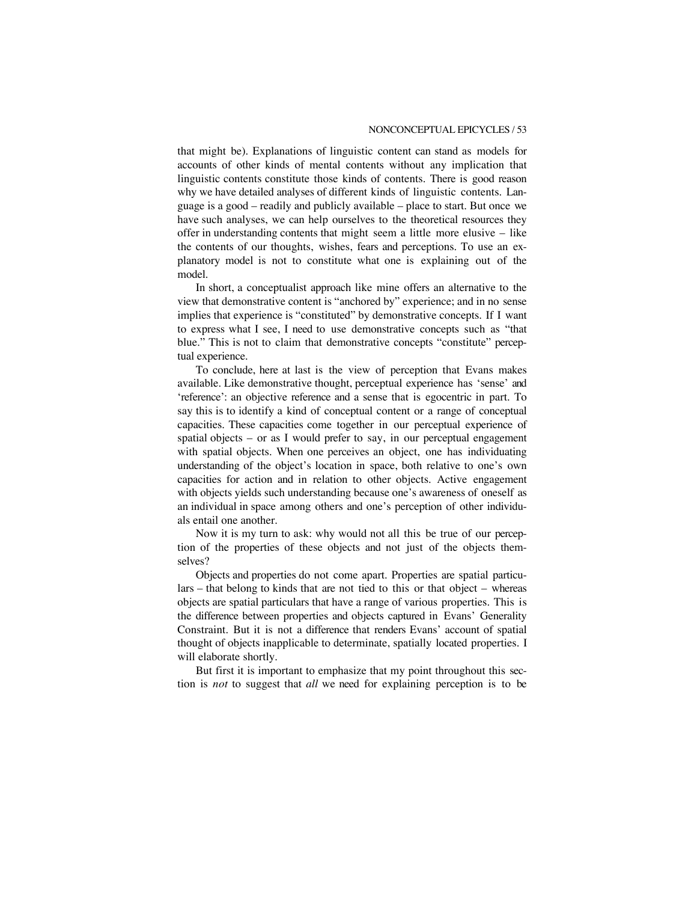that might be). Explanations of linguistic content can stand as models for accounts of other kinds of mental contents without any implication that linguistic contents constitute those kinds of contents. There is good reason why we have detailed analyses of different kinds of linguistic contents. Language is a good – readily and publicly available – place to start. But once we have such analyses, we can help ourselves to the theoretical resources they offer in understanding contents that might seem a little more elusive – like the contents of our thoughts, wishes, fears and perceptions. To use an explanatory model is not to constitute what one is explaining out of the model.

In short, a conceptualist approach like mine offers an alternative to the view that demonstrative content is "anchored by" experience; and in no sense implies that experience is "constituted" by demonstrative concepts. If I want to express what I see, I need to use demonstrative concepts such as "that blue." This is not to claim that demonstrative concepts "constitute" perceptual experience.

To conclude, here at last is the view of perception that Evans makes available. Like demonstrative thought, perceptual experience has 'sense' and 'reference': an objective reference and a sense that is egocentric in part. To say this is to identify a kind of conceptual content or a range of conceptual capacities. These capacities come together in our perceptual experience of spatial objects – or as I would prefer to say, in our perceptual engagement with spatial objects. When one perceives an object, one has individuating understanding of the object's location in space, both relative to one's own capacities for action and in relation to other objects. Active engagement with objects yields such understanding because one's awareness of oneself as an individual in space among others and one's perception of other individuals entail one another.

Now it is my turn to ask: why would not all this be true of our perception of the properties of these objects and not just of the objects themselves?

Objects and properties do not come apart. Properties are spatial particulars – that belong to kinds that are not tied to this or that object – whereas objects are spatial particulars that have a range of various properties. This is the difference between properties and objects captured in Evans' Generality Constraint. But it is not a difference that renders Evans' account of spatial thought of objects inapplicable to determinate, spatially located properties. I will elaborate shortly.

But first it is important to emphasize that my point throughout this section is *not* to suggest that *all* we need for explaining perception is to be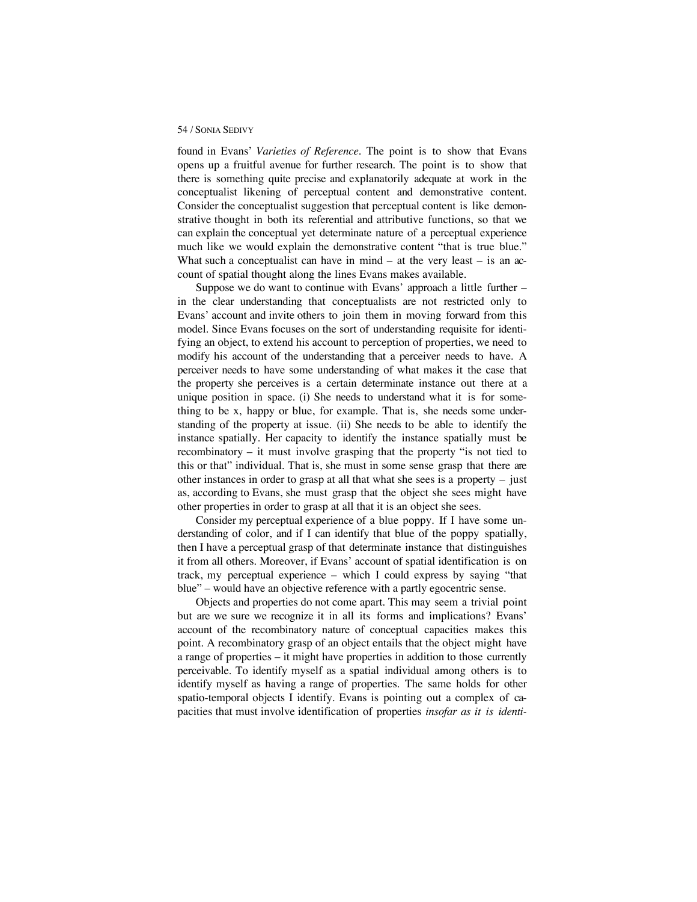found in Evans' *Varieties of Reference*. The point is to show that Evans opens up a fruitful avenue for further research. The point is to show that there is something quite precise and explanatorily adequate at work in the conceptualist likening of perceptual content and demonstrative content. Consider the conceptualist suggestion that perceptual content is like demonstrative thought in both its referential and attributive functions, so that we can explain the conceptual yet determinate nature of a perceptual experience much like we would explain the demonstrative content "that is true blue." What such a conceptualist can have in mind  $-$  at the very least  $-$  is an account of spatial thought along the lines Evans makes available.

Suppose we do want to continue with Evans' approach a little further – in the clear understanding that conceptualists are not restricted only to Evans' account and invite others to join them in moving forward from this model. Since Evans focuses on the sort of understanding requisite for identifying an object, to extend his account to perception of properties, we need to modify his account of the understanding that a perceiver needs to have. A perceiver needs to have some understanding of what makes it the case that the property she perceives is a certain determinate instance out there at a unique position in space. (i) She needs to understand what it is for something to be x, happy or blue, for example. That is, she needs some understanding of the property at issue. (ii) She needs to be able to identify the instance spatially. Her capacity to identify the instance spatially must be recombinatory – it must involve grasping that the property "is not tied to this or that" individual. That is, she must in some sense grasp that there are other instances in order to grasp at all that what she sees is a property – just as, according to Evans, she must grasp that the object she sees might have other properties in order to grasp at all that it is an object she sees.

Consider my perceptual experience of a blue poppy. If I have some understanding of color, and if I can identify that blue of the poppy spatially, then I have a perceptual grasp of that determinate instance that distinguishes it from all others. Moreover, if Evans' account of spatial identification is on track, my perceptual experience – which I could express by saying "that blue" – would have an objective reference with a partly egocentric sense.

Objects and properties do not come apart. This may seem a trivial point but are we sure we recognize it in all its forms and implications? Evans' account of the recombinatory nature of conceptual capacities makes this point. A recombinatory grasp of an object entails that the object might have a range of properties – it might have properties in addition to those currently perceivable. To identify myself as a spatial individual among others is to identify myself as having a range of properties. The same holds for other spatio-temporal objects I identify. Evans is pointing out a complex of capacities that must involve identification of properties *insofar as it is identi-*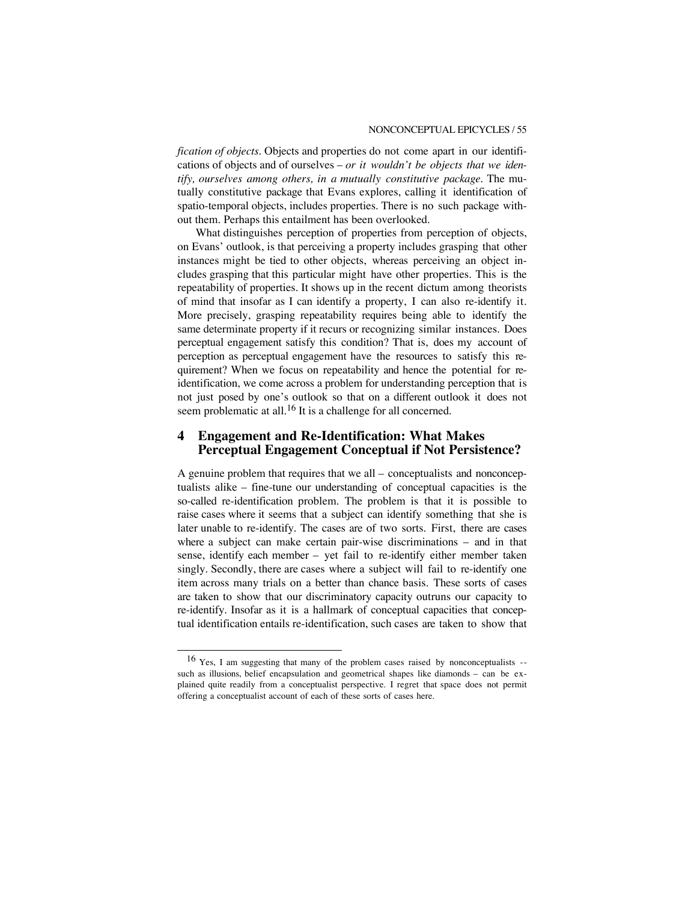*fication of objects.* Objects and properties do not come apart in our identifications of objects and of ourselves – *or it wouldn't be objects that we identify, ourselves among others, in a mutually constitutive package*. The mutually constitutive package that Evans explores, calling it identification of spatio-temporal objects, includes properties. There is no such package without them. Perhaps this entailment has been overlooked.

What distinguishes perception of properties from perception of objects, on Evans' outlook, is that perceiving a property includes grasping that other instances might be tied to other objects, whereas perceiving an object includes grasping that this particular might have other properties. This is the repeatability of properties. It shows up in the recent dictum among theorists of mind that insofar as I can identify a property, I can also re-identify it. More precisely, grasping repeatability requires being able to identify the same determinate property if it recurs or recognizing similar instances. Does perceptual engagement satisfy this condition? That is, does my account of perception as perceptual engagement have the resources to satisfy this requirement? When we focus on repeatability and hence the potential for reidentification, we come across a problem for understanding perception that is not just posed by one's outlook so that on a different outlook it does not seem problematic at all.<sup>16</sup> It is a challenge for all concerned.

# **4 Engagement and Re-Identification: What Makes Perceptual Engagement Conceptual if Not Persistence?**

A genuine problem that requires that we all – conceptualists and nonconceptualists alike – fine-tune our understanding of conceptual capacities is the so-called re-identification problem. The problem is that it is possible to raise cases where it seems that a subject can identify something that she is later unable to re-identify. The cases are of two sorts. First, there are cases where a subject can make certain pair-wise discriminations – and in that sense, identify each member – yet fail to re-identify either member taken singly. Secondly, there are cases where a subject will fail to re-identify one item across many trials on a better than chance basis. These sorts of cases are taken to show that our discriminatory capacity outruns our capacity to re-identify. Insofar as it is a hallmark of conceptual capacities that conceptual identification entails re-identification, such cases are taken to show that

 <sup>16</sup> Yes, I am suggesting that many of the problem cases raised by nonconceptualists - such as illusions, belief encapsulation and geometrical shapes like diamonds – can be explained quite readily from a conceptualist perspective. I regret that space does not permit offering a conceptualist account of each of these sorts of cases here.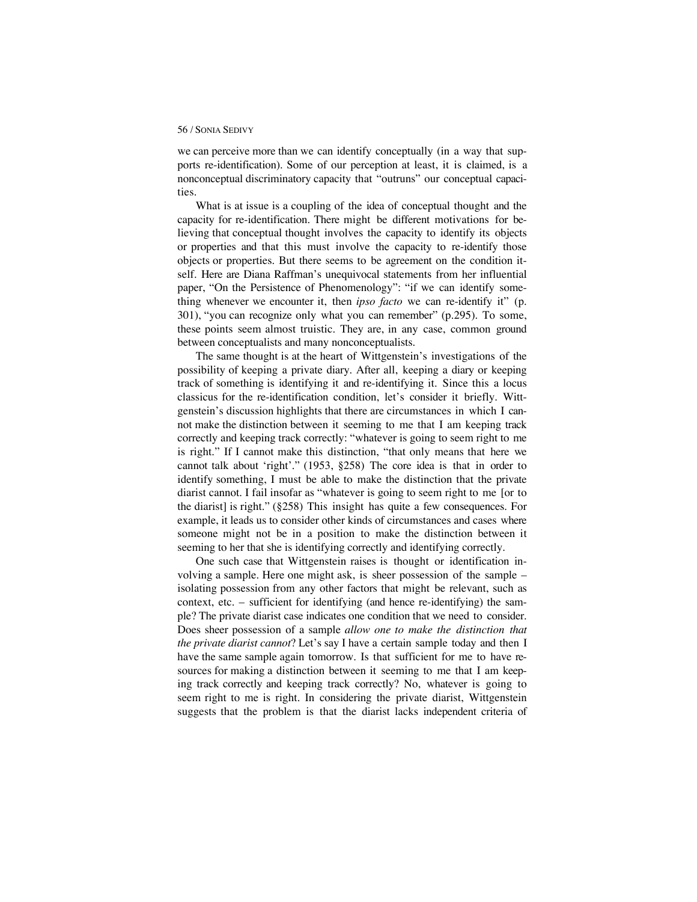we can perceive more than we can identify conceptually (in a way that supports re-identification). Some of our perception at least, it is claimed, is a nonconceptual discriminatory capacity that "outruns" our conceptual capacities.

What is at issue is a coupling of the idea of conceptual thought and the capacity for re-identification. There might be different motivations for believing that conceptual thought involves the capacity to identify its objects or properties and that this must involve the capacity to re-identify those objects or properties. But there seems to be agreement on the condition itself. Here are Diana Raffman's unequivocal statements from her influential paper, "On the Persistence of Phenomenology": "if we can identify something whenever we encounter it, then *ipso facto* we can re-identify it" (p. 301), "you can recognize only what you can remember" (p.295). To some, these points seem almost truistic. They are, in any case, common ground between conceptualists and many nonconceptualists.

The same thought is at the heart of Wittgenstein's investigations of the possibility of keeping a private diary. After all, keeping a diary or keeping track of something is identifying it and re-identifying it. Since this a locus classicus for the re-identification condition, let's consider it briefly. Wittgenstein's discussion highlights that there are circumstances in which I cannot make the distinction between it seeming to me that I am keeping track correctly and keeping track correctly: "whatever is going to seem right to me is right." If I cannot make this distinction, "that only means that here we cannot talk about 'right'." (1953, §258) The core idea is that in order to identify something, I must be able to make the distinction that the private diarist cannot. I fail insofar as "whatever is going to seem right to me [or to the diarist] is right." (§258) This insight has quite a few consequences. For example, it leads us to consider other kinds of circumstances and cases where someone might not be in a position to make the distinction between it seeming to her that she is identifying correctly and identifying correctly.

One such case that Wittgenstein raises is thought or identification involving a sample. Here one might ask, is sheer possession of the sample – isolating possession from any other factors that might be relevant, such as context, etc. – sufficient for identifying (and hence re-identifying) the sample? The private diarist case indicates one condition that we need to consider. Does sheer possession of a sample *allow one to make the distinction that the private diarist cannot*? Let's say I have a certain sample today and then I have the same sample again tomorrow. Is that sufficient for me to have resources for making a distinction between it seeming to me that I am keeping track correctly and keeping track correctly? No, whatever is going to seem right to me is right. In considering the private diarist, Wittgenstein suggests that the problem is that the diarist lacks independent criteria of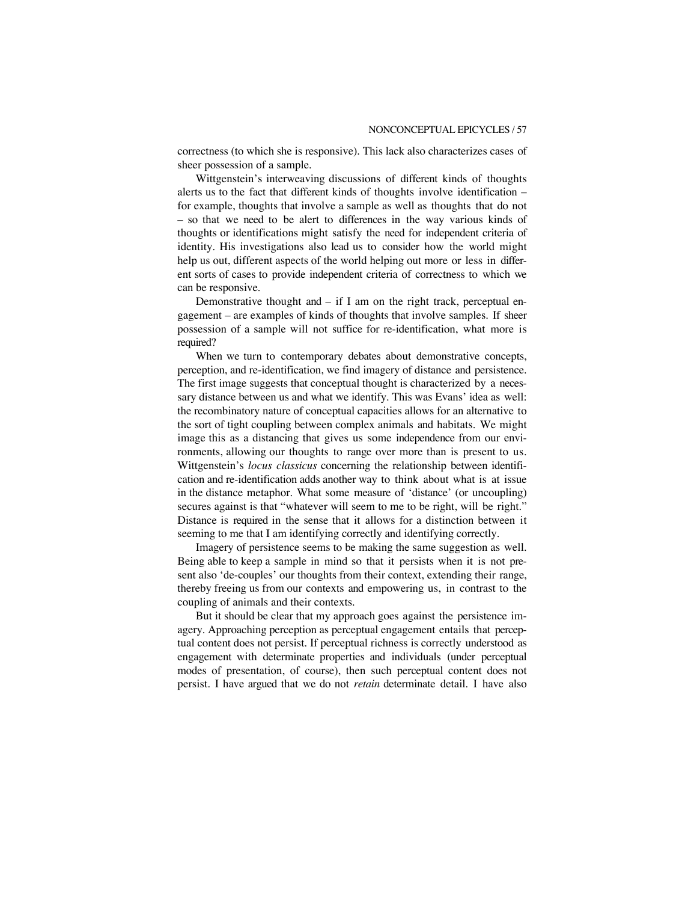correctness (to which she is responsive). This lack also characterizes cases of sheer possession of a sample.

Wittgenstein's interweaving discussions of different kinds of thoughts alerts us to the fact that different kinds of thoughts involve identification – for example, thoughts that involve a sample as well as thoughts that do not – so that we need to be alert to differences in the way various kinds of thoughts or identifications might satisfy the need for independent criteria of identity. His investigations also lead us to consider how the world might help us out, different aspects of the world helping out more or less in different sorts of cases to provide independent criteria of correctness to which we can be responsive.

Demonstrative thought and  $-$  if I am on the right track, perceptual engagement – are examples of kinds of thoughts that involve samples. If sheer possession of a sample will not suffice for re-identification, what more is required?

When we turn to contemporary debates about demonstrative concepts, perception, and re-identification, we find imagery of distance and persistence. The first image suggests that conceptual thought is characterized by a necessary distance between us and what we identify. This was Evans' idea as well: the recombinatory nature of conceptual capacities allows for an alternative to the sort of tight coupling between complex animals and habitats. We might image this as a distancing that gives us some independence from our environments, allowing our thoughts to range over more than is present to us. Wittgenstein's *locus classicus* concerning the relationship between identification and re-identification adds another way to think about what is at issue in the distance metaphor. What some measure of 'distance' (or uncoupling) secures against is that "whatever will seem to me to be right, will be right." Distance is required in the sense that it allows for a distinction between it seeming to me that I am identifying correctly and identifying correctly.

Imagery of persistence seems to be making the same suggestion as well. Being able to keep a sample in mind so that it persists when it is not present also 'de-couples' our thoughts from their context, extending their range, thereby freeing us from our contexts and empowering us, in contrast to the coupling of animals and their contexts.

But it should be clear that my approach goes against the persistence imagery. Approaching perception as perceptual engagement entails that perceptual content does not persist. If perceptual richness is correctly understood as engagement with determinate properties and individuals (under perceptual modes of presentation, of course), then such perceptual content does not persist. I have argued that we do not *retain* determinate detail. I have also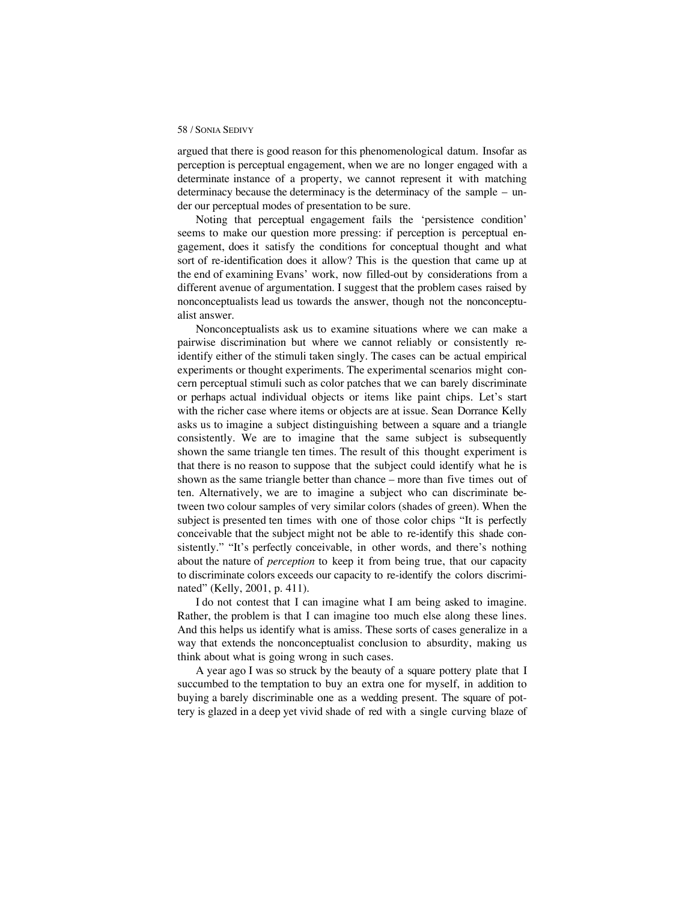argued that there is good reason for this phenomenological datum. Insofar as perception is perceptual engagement, when we are no longer engaged with a determinate instance of a property, we cannot represent it with matching determinacy because the determinacy is the determinacy of the sample – under our perceptual modes of presentation to be sure.

Noting that perceptual engagement fails the 'persistence condition' seems to make our question more pressing: if perception is perceptual engagement, does it satisfy the conditions for conceptual thought and what sort of re-identification does it allow? This is the question that came up at the end of examining Evans' work, now filled-out by considerations from a different avenue of argumentation. I suggest that the problem cases raised by nonconceptualists lead us towards the answer, though not the nonconceptualist answer.

Nonconceptualists ask us to examine situations where we can make a pairwise discrimination but where we cannot reliably or consistently reidentify either of the stimuli taken singly. The cases can be actual empirical experiments or thought experiments. The experimental scenarios might concern perceptual stimuli such as color patches that we can barely discriminate or perhaps actual individual objects or items like paint chips. Let's start with the richer case where items or objects are at issue. Sean Dorrance Kelly asks us to imagine a subject distinguishing between a square and a triangle consistently. We are to imagine that the same subject is subsequently shown the same triangle ten times. The result of this thought experiment is that there is no reason to suppose that the subject could identify what he is shown as the same triangle better than chance – more than five times out of ten. Alternatively, we are to imagine a subject who can discriminate between two colour samples of very similar colors (shades of green). When the subject is presented ten times with one of those color chips "It is perfectly conceivable that the subject might not be able to re-identify this shade consistently." "It's perfectly conceivable, in other words, and there's nothing about the nature of *perception* to keep it from being true, that our capacity to discriminate colors exceeds our capacity to re-identify the colors discriminated" (Kelly, 2001, p. 411).

I do not contest that I can imagine what I am being asked to imagine. Rather, the problem is that I can imagine too much else along these lines. And this helps us identify what is amiss. These sorts of cases generalize in a way that extends the nonconceptualist conclusion to absurdity, making us think about what is going wrong in such cases.

A year ago I was so struck by the beauty of a square pottery plate that I succumbed to the temptation to buy an extra one for myself, in addition to buying a barely discriminable one as a wedding present. The square of pottery is glazed in a deep yet vivid shade of red with a single curving blaze of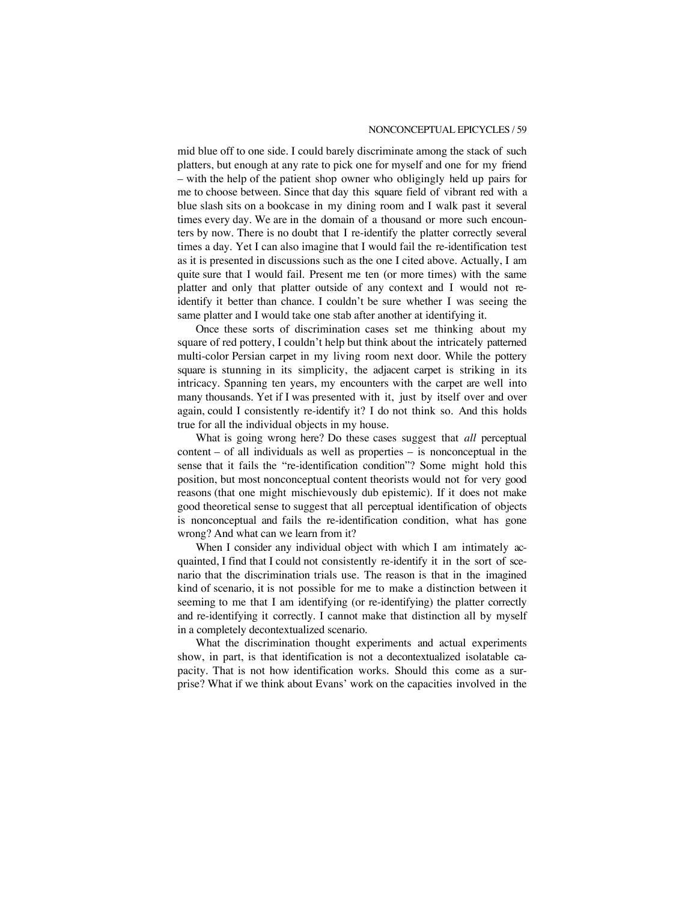## NONCONCEPTUAL EPICYCLES / 59

mid blue off to one side. I could barely discriminate among the stack of such platters, but enough at any rate to pick one for myself and one for my friend – with the help of the patient shop owner who obligingly held up pairs for me to choose between. Since that day this square field of vibrant red with a blue slash sits on a bookcase in my dining room and I walk past it several times every day. We are in the domain of a thousand or more such encounters by now. There is no doubt that I re-identify the platter correctly several times a day. Yet I can also imagine that I would fail the re-identification test as it is presented in discussions such as the one I cited above. Actually, I am quite sure that I would fail. Present me ten (or more times) with the same platter and only that platter outside of any context and I would not reidentify it better than chance. I couldn't be sure whether I was seeing the same platter and I would take one stab after another at identifying it.

Once these sorts of discrimination cases set me thinking about my square of red pottery, I couldn't help but think about the intricately patterned multi-color Persian carpet in my living room next door. While the pottery square is stunning in its simplicity, the adjacent carpet is striking in its intricacy. Spanning ten years, my encounters with the carpet are well into many thousands. Yet if I was presented with it, just by itself over and over again, could I consistently re-identify it? I do not think so. And this holds true for all the individual objects in my house.

What is going wrong here? Do these cases suggest that *all* perceptual content – of all individuals as well as properties – is nonconceptual in the sense that it fails the "re-identification condition"? Some might hold this position, but most nonconceptual content theorists would not for very good reasons (that one might mischievously dub epistemic). If it does not make good theoretical sense to suggest that all perceptual identification of objects is nonconceptual and fails the re-identification condition, what has gone wrong? And what can we learn from it?

When I consider any individual object with which I am intimately acquainted, I find that I could not consistently re-identify it in the sort of scenario that the discrimination trials use. The reason is that in the imagined kind of scenario, it is not possible for me to make a distinction between it seeming to me that I am identifying (or re-identifying) the platter correctly and re-identifying it correctly. I cannot make that distinction all by myself in a completely decontextualized scenario.

What the discrimination thought experiments and actual experiments show, in part, is that identification is not a decontextualized isolatable capacity. That is not how identification works. Should this come as a surprise? What if we think about Evans' work on the capacities involved in the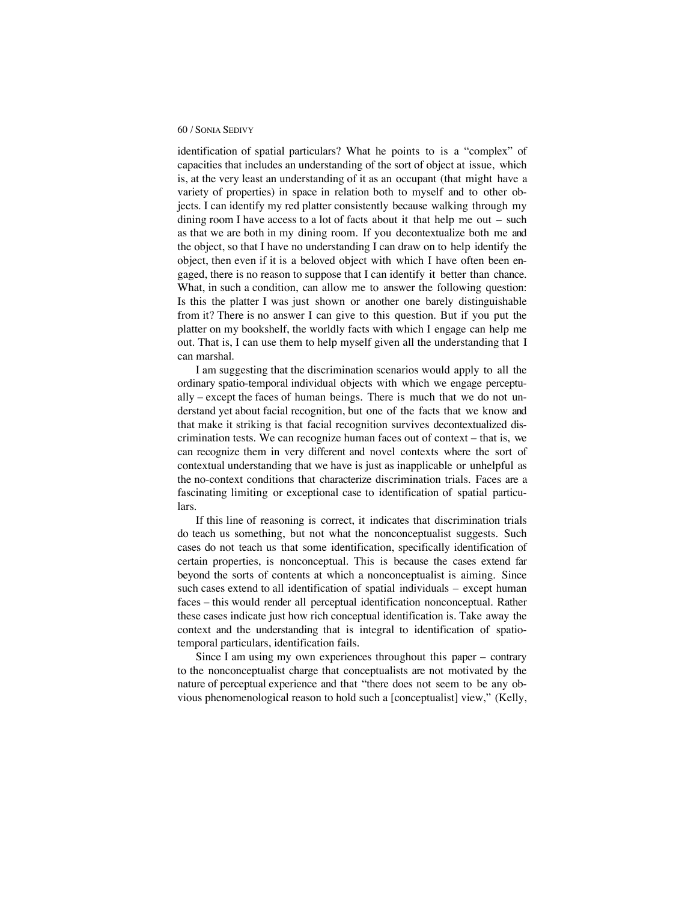identification of spatial particulars? What he points to is a "complex" of capacities that includes an understanding of the sort of object at issue, which is, at the very least an understanding of it as an occupant (that might have a variety of properties) in space in relation both to myself and to other objects. I can identify my red platter consistently because walking through my dining room I have access to a lot of facts about it that help me out – such as that we are both in my dining room. If you decontextualize both me and the object, so that I have no understanding I can draw on to help identify the object, then even if it is a beloved object with which I have often been engaged, there is no reason to suppose that I can identify it better than chance. What, in such a condition, can allow me to answer the following question: Is this the platter I was just shown or another one barely distinguishable from it? There is no answer I can give to this question. But if you put the platter on my bookshelf, the worldly facts with which I engage can help me out. That is, I can use them to help myself given all the understanding that I can marshal.

I am suggesting that the discrimination scenarios would apply to all the ordinary spatio-temporal individual objects with which we engage perceptually – except the faces of human beings. There is much that we do not understand yet about facial recognition, but one of the facts that we know and that make it striking is that facial recognition survives decontextualized discrimination tests. We can recognize human faces out of context – that is, we can recognize them in very different and novel contexts where the sort of contextual understanding that we have is just as inapplicable or unhelpful as the no-context conditions that characterize discrimination trials. Faces are a fascinating limiting or exceptional case to identification of spatial particulars.

If this line of reasoning is correct, it indicates that discrimination trials do teach us something, but not what the nonconceptualist suggests. Such cases do not teach us that some identification, specifically identification of certain properties, is nonconceptual. This is because the cases extend far beyond the sorts of contents at which a nonconceptualist is aiming. Since such cases extend to all identification of spatial individuals – except human faces – this would render all perceptual identification nonconceptual. Rather these cases indicate just how rich conceptual identification is. Take away the context and the understanding that is integral to identification of spatiotemporal particulars, identification fails.

Since I am using my own experiences throughout this paper – contrary to the nonconceptualist charge that conceptualists are not motivated by the nature of perceptual experience and that "there does not seem to be any obvious phenomenological reason to hold such a [conceptualist] view," (Kelly,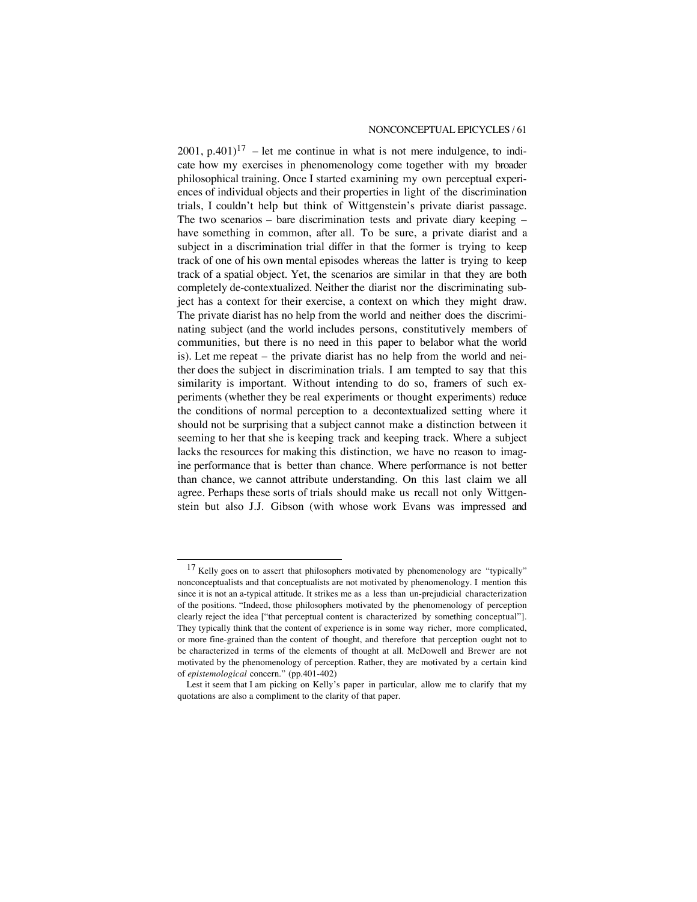2001, p.401)<sup>17</sup> – let me continue in what is not mere indulgence, to indicate how my exercises in phenomenology come together with my broader philosophical training. Once I started examining my own perceptual experiences of individual objects and their properties in light of the discrimination trials, I couldn't help but think of Wittgenstein's private diarist passage. The two scenarios – bare discrimination tests and private diary keeping – have something in common, after all. To be sure, a private diarist and a subject in a discrimination trial differ in that the former is trying to keep track of one of his own mental episodes whereas the latter is trying to keep track of a spatial object. Yet, the scenarios are similar in that they are both completely de-contextualized. Neither the diarist nor the discriminating subject has a context for their exercise, a context on which they might draw. The private diarist has no help from the world and neither does the discriminating subject (and the world includes persons, constitutively members of communities, but there is no need in this paper to belabor what the world is). Let me repeat – the private diarist has no help from the world and neither does the subject in discrimination trials. I am tempted to say that this similarity is important. Without intending to do so, framers of such experiments (whether they be real experiments or thought experiments) reduce the conditions of normal perception to a decontextualized setting where it should not be surprising that a subject cannot make a distinction between it seeming to her that she is keeping track and keeping track. Where a subject lacks the resources for making this distinction, we have no reason to imagine performance that is better than chance. Where performance is not better than chance, we cannot attribute understanding. On this last claim we all agree. Perhaps these sorts of trials should make us recall not only Wittgenstein but also J.J. Gibson (with whose work Evans was impressed and

<sup>&</sup>lt;sup>17</sup> Kelly goes on to assert that philosophers motivated by phenomenology are "typically" nonconceptualists and that conceptualists are not motivated by phenomenology. I mention this since it is not an a-typical attitude. It strikes me as a less than un-prejudicial characterization of the positions. "Indeed, those philosophers motivated by the phenomenology of perception clearly reject the idea ["that perceptual content is characterized by something conceptual"]. They typically think that the content of experience is in some way richer, more complicated, or more fine-grained than the content of thought, and therefore that perception ought not to be characterized in terms of the elements of thought at all. McDowell and Brewer are not motivated by the phenomenology of perception. Rather, they are motivated by a certain kind of *epistemological* concern." (pp.401-402)

Lest it seem that I am picking on Kelly's paper in particular, allow me to clarify that my quotations are also a compliment to the clarity of that paper.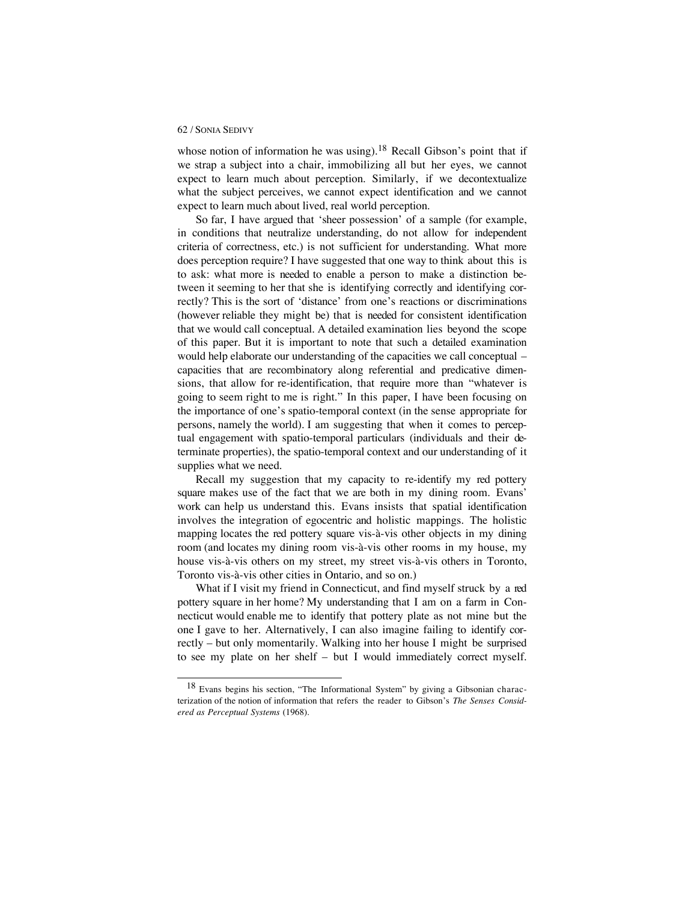whose notion of information he was using).<sup>18</sup> Recall Gibson's point that if we strap a subject into a chair, immobilizing all but her eyes, we cannot expect to learn much about perception. Similarly, if we decontextualize what the subject perceives, we cannot expect identification and we cannot expect to learn much about lived, real world perception.

So far, I have argued that 'sheer possession' of a sample (for example, in conditions that neutralize understanding, do not allow for independent criteria of correctness, etc.) is not sufficient for understanding. What more does perception require? I have suggested that one way to think about this is to ask: what more is needed to enable a person to make a distinction between it seeming to her that she is identifying correctly and identifying correctly? This is the sort of 'distance' from one's reactions or discriminations (however reliable they might be) that is needed for consistent identification that we would call conceptual. A detailed examination lies beyond the scope of this paper. But it is important to note that such a detailed examination would help elaborate our understanding of the capacities we call conceptual – capacities that are recombinatory along referential and predicative dimensions, that allow for re-identification, that require more than "whatever is going to seem right to me is right." In this paper, I have been focusing on the importance of one's spatio-temporal context (in the sense appropriate for persons, namely the world). I am suggesting that when it comes to perceptual engagement with spatio-temporal particulars (individuals and their determinate properties), the spatio-temporal context and our understanding of it supplies what we need.

Recall my suggestion that my capacity to re-identify my red pottery square makes use of the fact that we are both in my dining room. Evans' work can help us understand this. Evans insists that spatial identification involves the integration of egocentric and holistic mappings. The holistic mapping locates the red pottery square vis-à-vis other objects in my dining room (and locates my dining room vis-à-vis other rooms in my house, my house vis-à-vis others on my street, my street vis-à-vis others in Toronto, Toronto vis-à-vis other cities in Ontario, and so on.)

What if I visit my friend in Connecticut, and find myself struck by a red pottery square in her home? My understanding that I am on a farm in Connecticut would enable me to identify that pottery plate as not mine but the one I gave to her. Alternatively, I can also imagine failing to identify correctly – but only momentarily. Walking into her house I might be surprised to see my plate on her shelf – but I would immediately correct myself.

 <sup>18</sup> Evans begins his section, "The Informational System" by giving a Gibsonian characterization of the notion of information that refers the reader to Gibson's *The Senses Considered as Perceptual Systems* (1968).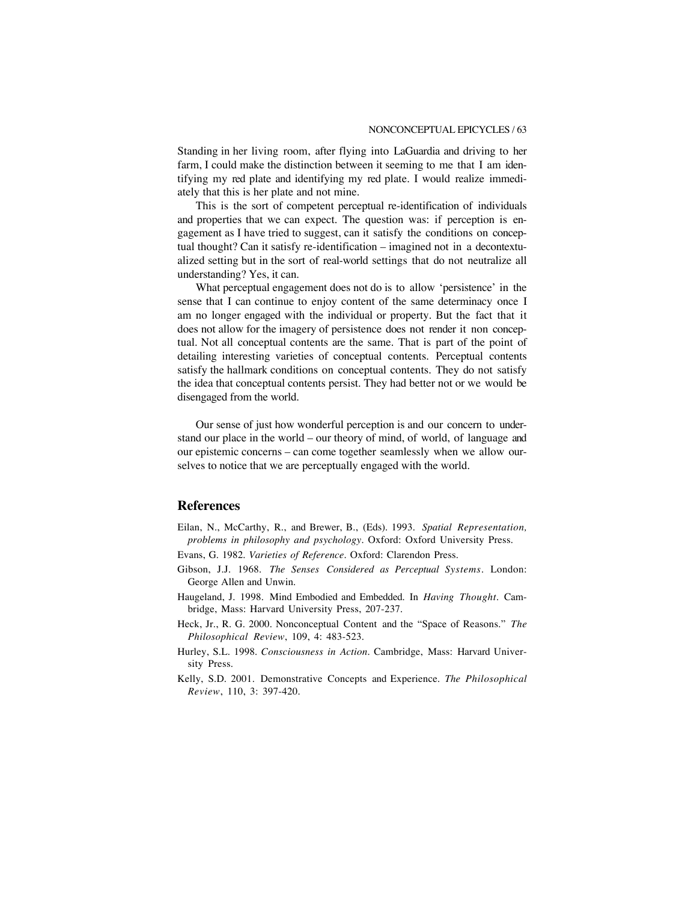Standing in her living room, after flying into LaGuardia and driving to her farm, I could make the distinction between it seeming to me that I am identifying my red plate and identifying my red plate. I would realize immediately that this is her plate and not mine.

This is the sort of competent perceptual re-identification of individuals and properties that we can expect. The question was: if perception is engagement as I have tried to suggest, can it satisfy the conditions on conceptual thought? Can it satisfy re-identification – imagined not in a decontextualized setting but in the sort of real-world settings that do not neutralize all understanding? Yes, it can.

What perceptual engagement does not do is to allow 'persistence' in the sense that I can continue to enjoy content of the same determinacy once I am no longer engaged with the individual or property. But the fact that it does not allow for the imagery of persistence does not render it non conceptual. Not all conceptual contents are the same. That is part of the point of detailing interesting varieties of conceptual contents. Perceptual contents satisfy the hallmark conditions on conceptual contents. They do not satisfy the idea that conceptual contents persist. They had better not or we would be disengaged from the world.

Our sense of just how wonderful perception is and our concern to understand our place in the world – our theory of mind, of world, of language and our epistemic concerns – can come together seamlessly when we allow ourselves to notice that we are perceptually engaged with the world.

## **References**

- Eilan, N., McCarthy, R., and Brewer, B., (Eds). 1993. *Spatial Representation, problems in philosophy and psychology*. Oxford: Oxford University Press.
- Evans, G. 1982. *Varieties of Reference*. Oxford: Clarendon Press.
- Gibson, J.J. 1968. *The Senses Considered as Perceptual Systems*. London: George Allen and Unwin.
- Haugeland, J. 1998. Mind Embodied and Embedded. In *Having Thought*. Cambridge, Mass: Harvard University Press, 207-237.
- Heck, Jr., R. G. 2000. Nonconceptual Content and the "Space of Reasons." *The Philosophical Review*, 109, 4: 483-523.
- Hurley, S.L. 1998. *Consciousness in Action*. Cambridge, Mass: Harvard University Press.
- Kelly, S.D. 2001. Demonstrative Concepts and Experience. *The Philosophical Review*, 110, 3: 397-420.